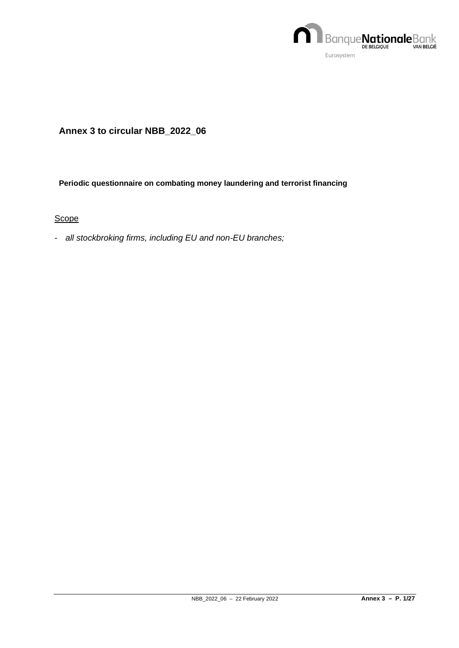

# **Annex 3 to circular NBB\_2022\_06**

## **Periodic questionnaire on combating money laundering and terrorist financing**

**Scope** 

- *all stockbroking firms, including EU and non-EU branches;*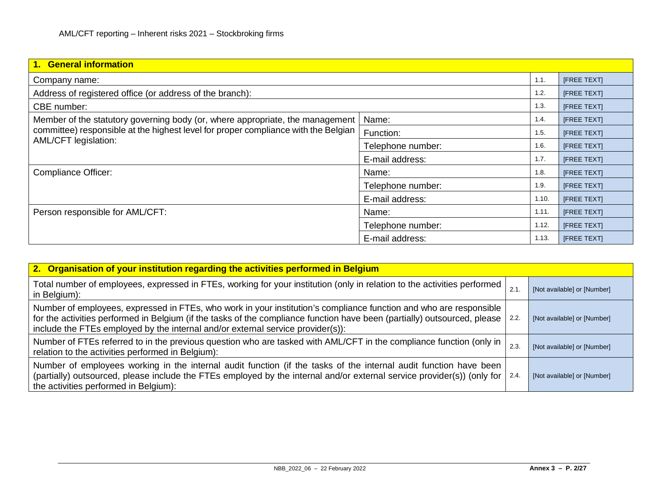| 1. General information                                                             |                   |       |                    |  |  |  |  |  |
|------------------------------------------------------------------------------------|-------------------|-------|--------------------|--|--|--|--|--|
| Company name:                                                                      |                   | 1.1.  | <b>IFREE TEXTI</b> |  |  |  |  |  |
| Address of registered office (or address of the branch):                           |                   | 1.2.  | [FREE TEXT]        |  |  |  |  |  |
| CBE number:                                                                        |                   | 1.3.  | <b>IFREE TEXTI</b> |  |  |  |  |  |
| Member of the statutory governing body (or, where appropriate, the management      | Name:             | 1.4.  | [FREE TEXT]        |  |  |  |  |  |
| committee) responsible at the highest level for proper compliance with the Belgian | Function:         | 1.5.  | [FREE TEXT]        |  |  |  |  |  |
| AML/CFT legislation:                                                               | Telephone number: | 1.6.  | <b>IFREE TEXTI</b> |  |  |  |  |  |
|                                                                                    | E-mail address:   | 1.7.  | [FREE TEXT]        |  |  |  |  |  |
| <b>Compliance Officer:</b>                                                         | Name:             | 1.8.  | [FREE TEXT]        |  |  |  |  |  |
|                                                                                    | Telephone number: | 1.9.  | [FREE TEXT]        |  |  |  |  |  |
|                                                                                    | E-mail address:   | 1.10. | [FREE TEXT]        |  |  |  |  |  |
| Person responsible for AML/CFT:                                                    | Name:             | 1.11. | <b>IFREE TEXTI</b> |  |  |  |  |  |
|                                                                                    | Telephone number: | 1.12. | <b>IFREE TEXTI</b> |  |  |  |  |  |
|                                                                                    | E-mail address:   | 1.13. | <b>IFREE TEXTI</b> |  |  |  |  |  |

| 2. Organisation of your institution regarding the activities performed in Belgium                                                                                                                                                                                                                                                  |      |                             |  |  |  |  |  |  |
|------------------------------------------------------------------------------------------------------------------------------------------------------------------------------------------------------------------------------------------------------------------------------------------------------------------------------------|------|-----------------------------|--|--|--|--|--|--|
| Total number of employees, expressed in FTEs, working for your institution (only in relation to the activities performed<br>in Belgium):                                                                                                                                                                                           | 2.1. | [Not available] or [Number] |  |  |  |  |  |  |
| Number of employees, expressed in FTEs, who work in your institution's compliance function and who are responsible<br>for the activities performed in Belgium (if the tasks of the compliance function have been (partially) outsourced, please<br>include the FTEs employed by the internal and/or external service provider(s)): | 2.2. | [Not available] or [Number] |  |  |  |  |  |  |
| Number of FTEs referred to in the previous question who are tasked with AML/CFT in the compliance function (only in<br>relation to the activities performed in Belgium):                                                                                                                                                           | 2.3  | [Not available] or [Number] |  |  |  |  |  |  |
| Number of employees working in the internal audit function (if the tasks of the internal audit function have been<br>(partially) outsourced, please include the FTEs employed by the internal and/or external service provider(s)) (only for<br>the activities performed in Belgium):                                              | 2.4. | [Not available] or [Number] |  |  |  |  |  |  |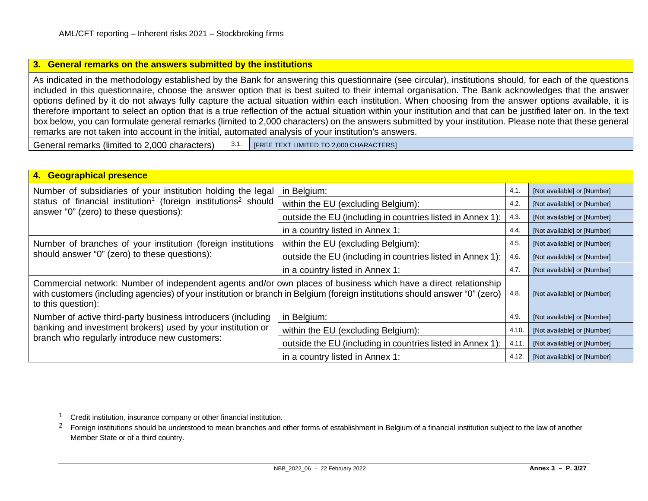### <span id="page-2-1"></span><span id="page-2-0"></span>**3. General remarks on the answers submitted by the institutions**

As indicated in the methodology established by the Bank for answering this questionnaire (see circular), institutions should, for each of the questions included in this questionnaire, choose the answer option that is best suited to their internal organisation. The Bank acknowledges that the answer options defined by it do not always fully capture the actual situation within each institution. When choosing from the answer options available, it is therefore important to select an option that is a true reflection of the actual situation within your institution and that can be justified later on. In the text box below, you can formulate general remarks (limited to 2,000 characters) on the answers submitted by your institution. Please note that these general remarks are not taken into account in the initial, automated analysis of your institution's answers.

General remarks (limited to 2,000 characters)  $\begin{bmatrix} 3.1. \end{bmatrix}$  [FREE TEXT LIMITED TO 2,000 CHARACTERS]

| 4. Geographical presence                                                                                                                                                                                                                                             |                                                            |                             |                             |  |  |  |  |
|----------------------------------------------------------------------------------------------------------------------------------------------------------------------------------------------------------------------------------------------------------------------|------------------------------------------------------------|-----------------------------|-----------------------------|--|--|--|--|
| Number of subsidiaries of your institution holding the legal<br>status of financial institution <sup>1</sup> (foreign institutions <sup>2</sup> should                                                                                                               | in Belgium:                                                | 4.1.                        | [Not available] or [Number] |  |  |  |  |
|                                                                                                                                                                                                                                                                      | within the EU (excluding Belgium):                         | 4.2.                        | [Not available] or [Number] |  |  |  |  |
| answer "0" (zero) to these questions):                                                                                                                                                                                                                               | outside the EU (including in countries listed in Annex 1): | 4.3.                        | [Not available] or [Number] |  |  |  |  |
|                                                                                                                                                                                                                                                                      | in a country listed in Annex 1:                            | 4.4.                        | [Not available] or [Number] |  |  |  |  |
| Number of branches of your institution (foreign institutions                                                                                                                                                                                                         | within the EU (excluding Belgium):                         | 4.5.                        | [Not available] or [Number] |  |  |  |  |
| should answer "0" (zero) to these questions):                                                                                                                                                                                                                        | outside the EU (including in countries listed in Annex 1): | 4.6.                        | [Not available] or [Number] |  |  |  |  |
|                                                                                                                                                                                                                                                                      | in a country listed in Annex 1:                            | 4.7.                        | [Not available] or [Number] |  |  |  |  |
| Commercial network: Number of independent agents and/or own places of business which have a direct relationship<br>with customers (including agencies) of your institution or branch in Belgium (foreign institutions should answer "0" (zero)<br>to this question): | 4.8.                                                       | [Not available] or [Number] |                             |  |  |  |  |
| Number of active third-party business introducers (including                                                                                                                                                                                                         | in Belgium:                                                | 4.9.                        | [Not available] or [Number] |  |  |  |  |
| banking and investment brokers) used by your institution or                                                                                                                                                                                                          | within the EU (excluding Belgium):                         | 4.10.                       | [Not available] or [Number] |  |  |  |  |
| branch who regularly introduce new customers:                                                                                                                                                                                                                        | outside the EU (including in countries listed in Annex 1): | 4.11.                       | [Not available] or [Number] |  |  |  |  |
|                                                                                                                                                                                                                                                                      | in a country listed in Annex 1:                            | 4.12.                       | [Not available] or [Number] |  |  |  |  |

<sup>2</sup> Foreign institutions should be understood to mean branches and other forms of establishment in Belgium of a financial institution subject to the law of another Member State or of a third country.

<sup>1</sup> Credit institution, insurance company or other financial institution.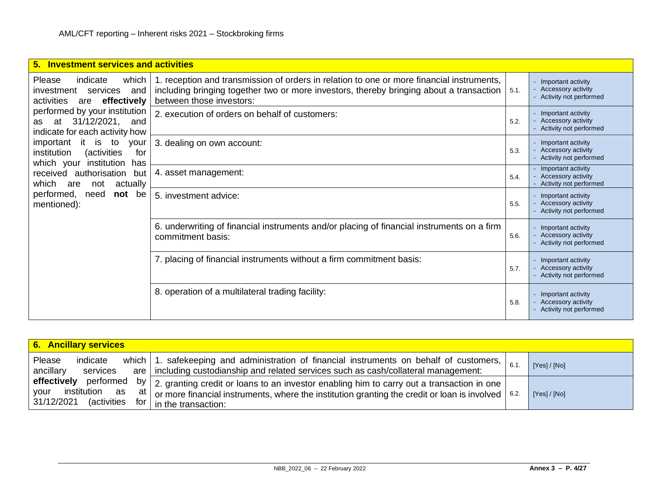| <b>Investment services and activities</b><br>5.                                                                 |                                                                                                                                                                                                                  |      |                                                                             |
|-----------------------------------------------------------------------------------------------------------------|------------------------------------------------------------------------------------------------------------------------------------------------------------------------------------------------------------------|------|-----------------------------------------------------------------------------|
| Please<br>indicate<br>which<br>services<br>investment<br>and<br>effectively<br>activities<br>are                | 1. reception and transmission of orders in relation to one or more financial instruments,<br>including bringing together two or more investors, thereby bringing about a transaction<br>between those investors: | 5.1. | Important activity<br><b>Accessory activity</b><br>Activity not performed   |
| performed by your institution<br>31/12/2021,<br>at<br>and<br>as<br>indicate for each activity how               | 2. execution of orders on behalf of customers:                                                                                                                                                                   | 5.2. | Important activity<br><b>Accessory activity</b><br>Activity not performed   |
| it is to<br>important<br>your<br>institution<br><i>(activities)</i><br>for<br>which your institution<br>has     | 3. dealing on own account:                                                                                                                                                                                       | 5.3. | Important activity<br>Accessory activity<br>Activity not performed          |
| received authorisation<br>but<br>actually<br>which<br>are<br>not<br>performed,<br>not be<br>need<br>mentioned): | 4. asset management:                                                                                                                                                                                             | 5.4. | - Important activity<br>- Accessory activity<br>Activity not performed      |
|                                                                                                                 | 5. investment advice:                                                                                                                                                                                            | 5.5. | Important activity<br><b>Accessory activity</b><br>Activity not performed   |
|                                                                                                                 | 6. underwriting of financial instruments and/or placing of financial instruments on a firm<br>commitment basis:                                                                                                  | 5.6. | Important activity<br>Accessory activity<br>Activity not performed          |
|                                                                                                                 | 7. placing of financial instruments without a firm commitment basis:                                                                                                                                             | 5.7. | Important activity<br>Accessory activity<br>Activity not performed          |
|                                                                                                                 | 8. operation of a multilateral trading facility:                                                                                                                                                                 | 5.8. | - Important activity<br><b>Accessory activity</b><br>Activity not performed |

| <b>6. Ancillary services</b>                                                    |                                                                                                                                                                                                                                                                      |  |            |  |  |  |  |  |  |
|---------------------------------------------------------------------------------|----------------------------------------------------------------------------------------------------------------------------------------------------------------------------------------------------------------------------------------------------------------------|--|------------|--|--|--|--|--|--|
| Please<br>indicate<br>ancillary<br>services                                     | which 1. safekeeping and administration of financial instruments on behalf of customers, $\vert$ 6.1.<br>are   including custodianship and related services such as cash/collateral management:                                                                      |  | [Yes]/[No] |  |  |  |  |  |  |
| effectively performed<br>institution<br>your<br>as<br>31/12/2021<br>(activities | by   2. granting credit or loans to an investor enabling him to carry out a transaction in one  <br>$\mathsf{a}$   or more financial instruments, where the institution granting the credit or loan is involved   6.2.<br>$\sqrt{5}$ for $\vert$ in the transaction: |  | [Yes]/[No] |  |  |  |  |  |  |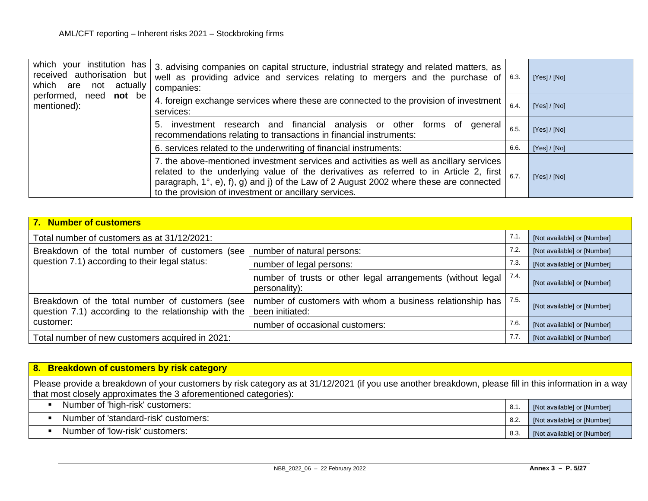| which your institution has<br>received authorisation but<br>which are not<br>actually<br>performed, need <b>not</b> be<br>mentioned): | 3. advising companies on capital structure, industrial strategy and related matters, as<br>well as providing advice and services relating to mergers and the purchase of $\int$ 6.3.<br>companies:                                                                                                                                          |      | [Yes] / [No] |
|---------------------------------------------------------------------------------------------------------------------------------------|---------------------------------------------------------------------------------------------------------------------------------------------------------------------------------------------------------------------------------------------------------------------------------------------------------------------------------------------|------|--------------|
|                                                                                                                                       | 4. foreign exchange services where these are connected to the provision of investment<br>services:                                                                                                                                                                                                                                          | 6.4  | [Yes]/[No]   |
|                                                                                                                                       | investment research and financial analysis or other forms of<br>general<br>5.<br>recommendations relating to transactions in financial instruments:                                                                                                                                                                                         | 6.5  | [Yes]/[No]   |
|                                                                                                                                       | 6. services related to the underwriting of financial instruments:                                                                                                                                                                                                                                                                           | 6.6. | [Yes] / [No] |
|                                                                                                                                       | 7. the above-mentioned investment services and activities as well as ancillary services<br>related to the underlying value of the derivatives as referred to in Article 2, first<br>paragraph, $1^\circ$ , e), f), g) and j) of the Law of 2 August 2002 where these are connected<br>to the provision of investment or ancillary services. | 6.7  | [Yes]/[No]   |

| 7. Number of customers                                                                                               |                                                                                      |                             |                             |  |  |  |  |
|----------------------------------------------------------------------------------------------------------------------|--------------------------------------------------------------------------------------|-----------------------------|-----------------------------|--|--|--|--|
| Total number of customers as at 31/12/2021:                                                                          | 7.1                                                                                  | [Not available] or [Number] |                             |  |  |  |  |
| Breakdown of the total number of customers (see                                                                      | number of natural persons:                                                           | 7.2.                        | [Not available] or [Number] |  |  |  |  |
| question 7.1) according to their legal status:                                                                       | number of legal persons:                                                             | 7.3.                        | [Not available] or [Number] |  |  |  |  |
|                                                                                                                      | number of trusts or other legal arrangements (without legal<br>personality):         | 7.4.                        | [Not available] or [Number] |  |  |  |  |
| Breakdown of the total number of customers (see<br>question 7.1) according to the relationship with the<br>customer: | 7.5.<br>number of customers with whom a business relationship has<br>been initiated: |                             | [Not available] or [Number] |  |  |  |  |
|                                                                                                                      | number of occasional customers:                                                      |                             | [Not available] or [Number] |  |  |  |  |
| Total number of new customers acquired in 2021:                                                                      |                                                                                      | 7.7.                        | [Not available] or [Number] |  |  |  |  |

| 8. Breakdown of customers by risk category                                                                                                                                                                                 |      |                             |  |  |  |  |
|----------------------------------------------------------------------------------------------------------------------------------------------------------------------------------------------------------------------------|------|-----------------------------|--|--|--|--|
| Please provide a breakdown of your customers by risk category as at 31/12/2021 (if you use another breakdown, please fill in this information in a way<br>that most closely approximates the 3 aforementioned categories): |      |                             |  |  |  |  |
| Number of 'high-risk' customers:                                                                                                                                                                                           | 8.1  | [Not available] or [Number] |  |  |  |  |
| Number of 'standard-risk' customers:                                                                                                                                                                                       | 8.2. | [Not available] or [Number] |  |  |  |  |
| Number of 'low-risk' customers:                                                                                                                                                                                            | 8.3  | [Not available] or [Number] |  |  |  |  |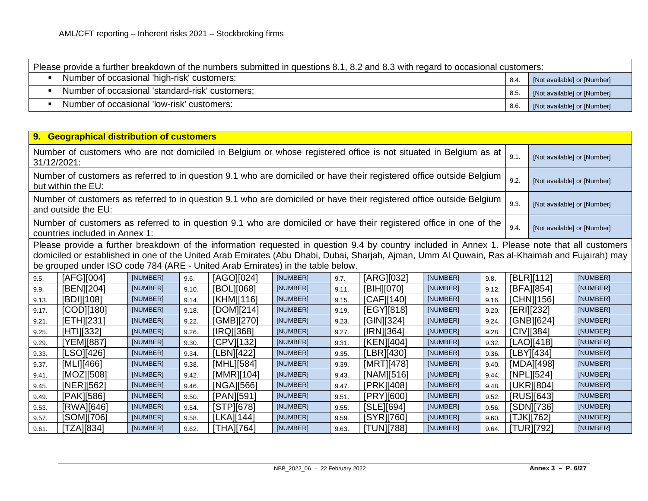| Please provide a further breakdown of the numbers submitted in questions 8.1, 8.2 and 8.3 with regard to occasional customers: |     |                             |  |  |  |  |
|--------------------------------------------------------------------------------------------------------------------------------|-----|-----------------------------|--|--|--|--|
| Number of occasional 'high-risk' customers:                                                                                    | 8.4 | [Not available] or [Number] |  |  |  |  |
| Number of occasional 'standard-risk' customers:                                                                                | 8.5 | [Not available] or [Number] |  |  |  |  |
| Number of occasional 'low-risk' customers:                                                                                     | 8.6 | [Not available] or [Number] |  |  |  |  |

| 9. Geographical distribution of customers                                                                                                                                                                                                                                                                                                                                          |                                                                                                                                                      |          |       |            |          |       |            |          |       |                             |                             |          |
|------------------------------------------------------------------------------------------------------------------------------------------------------------------------------------------------------------------------------------------------------------------------------------------------------------------------------------------------------------------------------------|------------------------------------------------------------------------------------------------------------------------------------------------------|----------|-------|------------|----------|-------|------------|----------|-------|-----------------------------|-----------------------------|----------|
| Number of customers who are not domiciled in Belgium or whose registered office is not situated in Belgium as at<br>31/12/2021:                                                                                                                                                                                                                                                    |                                                                                                                                                      |          |       |            |          |       |            |          | 9.1.  | [Not available] or [Number] |                             |          |
|                                                                                                                                                                                                                                                                                                                                                                                    | Number of customers as referred to in question 9.1 who are domiciled or have their registered office outside Belgium<br>but within the EU:           |          |       |            |          |       |            |          |       | 9.2.                        | [Not available] or [Number] |          |
|                                                                                                                                                                                                                                                                                                                                                                                    | Number of customers as referred to in question 9.1 who are domiciled or have their registered office outside Belgium<br>and outside the EU:          |          |       |            |          |       |            |          |       | 9.3.                        | [Not available] or [Number] |          |
|                                                                                                                                                                                                                                                                                                                                                                                    | Number of customers as referred to in question 9.1 who are domiciled or have their registered office in one of the<br>countries included in Annex 1: |          |       |            |          |       |            |          |       | 9.4.                        | [Not available] or [Number] |          |
| Please provide a further breakdown of the information requested in question 9.4 by country included in Annex 1. Please note that all customers<br>domiciled or established in one of the United Arab Emirates (Abu Dhabi, Dubai, Sharjah, Ajman, Umm Al Quwain, Ras al-Khaimah and Fujairah) may<br>be grouped under ISO code 784 (ARE - United Arab Emirates) in the table below. |                                                                                                                                                      |          |       |            |          |       |            |          |       |                             |                             |          |
|                                                                                                                                                                                                                                                                                                                                                                                    |                                                                                                                                                      |          |       |            |          |       |            |          |       |                             |                             |          |
| 9.5.                                                                                                                                                                                                                                                                                                                                                                               | [AFG][004]                                                                                                                                           | [NUMBER] | 9.6.  | [AGO][024] | [NUMBER] | 9.7.  | [ARG][032] | [NUMBER] | 9.8.  |                             | [BLR][112]                  | [NUMBER] |
| 9.9.                                                                                                                                                                                                                                                                                                                                                                               | [BEN][204]                                                                                                                                           | [NUMBER] | 9.10. | [BOL][068] | [NUMBER] | 9.11. | [BIH][070] | [NUMBER] | 9.12. |                             | [BFA][854]                  | [NUMBER] |
| 9.13.                                                                                                                                                                                                                                                                                                                                                                              | [BDI][108]                                                                                                                                           | [NUMBER] | 9.14. | [KHM][116] | [NUMBER] | 9.15. | [CAF][140] | [NUMBER] | 9.16. |                             | [CHN][156]                  | [NUMBER] |
| 9.17.                                                                                                                                                                                                                                                                                                                                                                              | [COD][180]                                                                                                                                           | [NUMBER] | 9.18. | [DOM][214] | [NUMBER] | 9.19. | [EGY][818] | [NUMBER] | 9.20. | [ERI][232]                  |                             | [NUMBER] |
| 9.21.                                                                                                                                                                                                                                                                                                                                                                              | [ETH][231]                                                                                                                                           | [NUMBER] | 9.22. | [GMB][270] | [NUMBER] | 9.23. | [GIN][324] | [NUMBER] | 9.24. |                             | [GNB][624]                  | [NUMBER] |
| 9.25.                                                                                                                                                                                                                                                                                                                                                                              | [HTI][332]                                                                                                                                           | [NUMBER] | 9.26. | [IRQ][368] | [NUMBER] | 9.27. | [IRN][364] | [NUMBER] | 9.28. |                             | $ CIV $ [384]               | [NUMBER] |
| 9.29.                                                                                                                                                                                                                                                                                                                                                                              | [YEM][887]                                                                                                                                           | [NUMBER] | 9.30. | [CPV][132] | [NUMBER] | 9.31. | [KEN][404] | [NUMBER] | 9.32. |                             | [LAO][418]                  | [NUMBER] |
| 9.33.                                                                                                                                                                                                                                                                                                                                                                              | [LSO][426]                                                                                                                                           | [NUMBER] | 9.34. | [LBN][422] | [NUMBER] | 9.35. | [LBR][430] | [NUMBER] | 9.36. |                             | [LBY][434]                  | [NUMBER] |
| 9.37.                                                                                                                                                                                                                                                                                                                                                                              | [MLI][466]                                                                                                                                           | [NUMBER] | 9.38. | [MHL][584] | [NUMBER] | 9.39. | [MRT][478] | [NUMBER] | 9.40  |                             | [MDA][498]                  | [NUMBER] |
| 9.41.                                                                                                                                                                                                                                                                                                                                                                              | [MOZ][508]                                                                                                                                           | [NUMBER] | 9.42. | [MMR][104] | [NUMBER] | 9.43. | [NAM][516] | [NUMBER] | 9.44. |                             | [NPL][524]                  | [NUMBER] |
| 9.45.                                                                                                                                                                                                                                                                                                                                                                              | [NER][562]                                                                                                                                           | [NUMBER] | 9.46. | [NGA][566] | [NUMBER] | 9.47. | [PRK][408] | [NUMBER] | 9.48. |                             | [UKR][804]                  | [NUMBER] |
| 9.49.                                                                                                                                                                                                                                                                                                                                                                              | [PAK][586]                                                                                                                                           | [NUMBER] | 9.50. | [PAN][591] | [NUMBER] | 9.51. | [PRY][600] | [NUMBER] | 9.52. |                             | [RUS][643]                  | [NUMBER] |
| 9.53.                                                                                                                                                                                                                                                                                                                                                                              | [RWA][646]                                                                                                                                           | [NUMBER] | 9.54. | [STP][678] | [NUMBER] | 9.55. | [SLE][694] | [NUMBER] | 9.56. |                             | [SDN][736]                  | [NUMBER] |
| 9.57.                                                                                                                                                                                                                                                                                                                                                                              | [SOM][706]                                                                                                                                           | [NUMBER] | 9.58. | [LKA][144] | [NUMBER] | 9.59. | [SYR][760] | [NUMBER] | 9.60. |                             | [TJK][762]                  | [NUMBER] |
| 9.61.                                                                                                                                                                                                                                                                                                                                                                              | [TZA][834]                                                                                                                                           | [NUMBER] | 9.62. | [THA][764] | [NUMBER] | 9.63. | [TUN][788] | [NUMBER] | 9.64. |                             | [TUR][792]                  | [NUMBER] |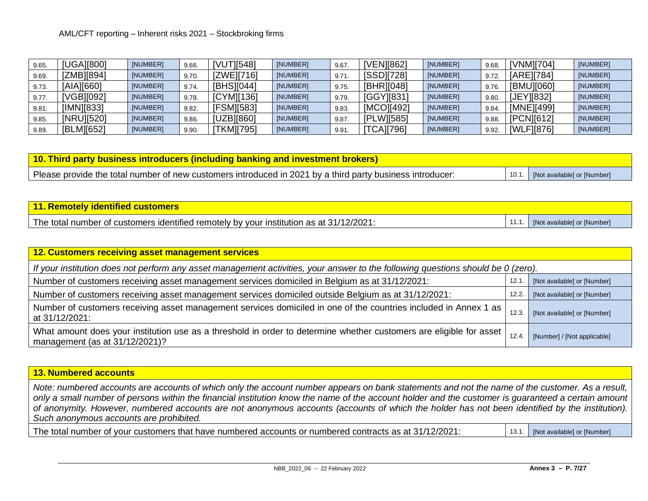| 9.65. | <b>[UGA][800]</b> | [NUMBER] | 9.66. | [VUT][548]        | [NUMBER] | 9.67  | [VEN][862]        | [NUMBER] | 9.68. | [VNM][704] | [NUMBER] |
|-------|-------------------|----------|-------|-------------------|----------|-------|-------------------|----------|-------|------------|----------|
| 9.69. | [ZMB][894]        | [NUMBER] | 9.70. | [ZWE][716]        | [NUMBER] | 9.71  | [SSD][728]        | [NUMBER] | 9.72. | [ARE][784] | [NUMBER] |
| 9.73. | [AIA][660]        | [NUMBER] | 9.74. | [BHS][044]        | [NUMBER] | 9.75. | [BHR][048]        | [NUMBER] | 9.76. | [BMU][060] | [NUMBER] |
| 9.77. | VGB][092]         | [NUMBER] | 9.78. | [CYM][136]        | [NUMBER] | 9.79. | [GGY][831]        | [NUMBER] | 9.80. | [JEY][832] | [NUMBER] |
| 9.81. | [IMN][833]        | [NUMBER] | 9.82. | <b>IFSM][583]</b> | [NUMBER] | 9.83. | [MCO][492]        | [NUMBER] | 9.84. | [MNE][499] | [NUMBER] |
| 9.85. | [NRU][520]        | [NUMBER] | 9.86. | [UZB][860]        | [NUMBER] | 9.87  | [PLW][585]        | [NUMBER] | 9.88. | [PCN][612] | [NUMBER] |
| 9.89. | [BLM][652]        | [NUMBER] | 9.90. | TKM][795]         | [NUMBER] | 9.91  | <b>[TCA][796]</b> | [NUMBER] | 9.92. | [WLF][876] | [NUMBER] |

**10. Third party business introducers (including banking and investment brokers)** Please provide the total number of new customers introduced in 2021 by a third party business introducer: 10.1. [Not available] or [Number]

| <u>  11. Remotely identified customers_</u>                                             |       |                             |
|-----------------------------------------------------------------------------------------|-------|-----------------------------|
| The total number of customers identified remotely by your institution as at 31/12/2021: | 11.1. | [Not available] or [Number] |

| 12. Customers receiving asset management services                                                                                                     |       |                             |  |  |
|-------------------------------------------------------------------------------------------------------------------------------------------------------|-------|-----------------------------|--|--|
| If your institution does not perform any asset management activities, your answer to the following questions should be 0 (zero).                      |       |                             |  |  |
| Number of customers receiving asset management services domiciled in Belgium as at 31/12/2021:                                                        | 12.1  | [Not available] or [Number] |  |  |
| Number of customers receiving asset management services domiciled outside Belgium as at 31/12/2021:                                                   | 12.2  | [Not available] or [Number] |  |  |
| Number of customers receiving asset management services domiciled in one of the countries included in Annex 1 as<br>at 31/12/2021:                    | 12.3. | [Not available] or [Number] |  |  |
| What amount does your institution use as a threshold in order to determine whether customers are eligible for asset<br>management (as at 31/12/2021)? | 12.4  | [Number] / [Not applicable] |  |  |

## **13. Numbered accounts**

*Note: numbered accounts are accounts of which only the account number appears on bank statements and not the name of the customer. As a result, only a small number of persons within the financial institution know the name of the account holder and the customer is guaranteed a certain amount of anonymity. However, numbered accounts are not anonymous accounts (accounts of which the holder has not been identified by the institution). Such anonymous accounts are prohibited.*

The total number of your customers that have numbered accounts or numbered contracts as at 31/12/2021: [Not available] or [Number]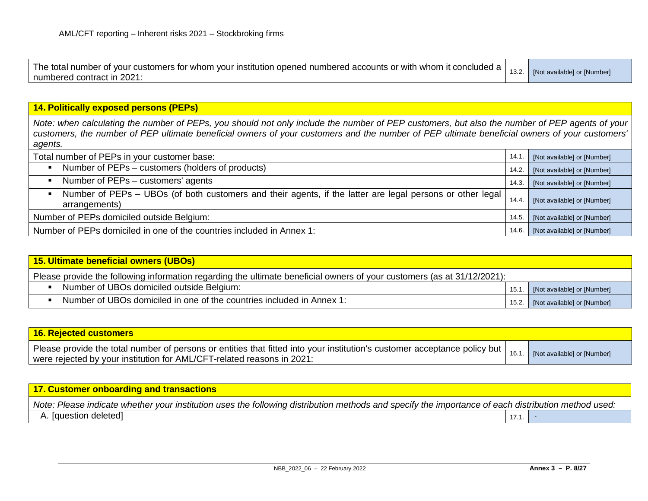| The total number of your customers for whom your institution opened numbered accounts or with whom it concluded a<br>numbered contract in 2021: | 13.2. | [Not available] or [Number] |
|-------------------------------------------------------------------------------------------------------------------------------------------------|-------|-----------------------------|
|                                                                                                                                                 |       |                             |

## **14. Politically exposed persons (PEPs)**

*Note: when calculating the number of PEPs, you should not only include the number of PEP customers, but also the number of PEP agents of your customers, the number of PEP ultimate beneficial owners of your customers and the number of PEP ultimate beneficial owners of your customers' agents.*

| Total number of PEPs in your customer base:                                                                                  | 14.1  | [Not available] or [Number] |
|------------------------------------------------------------------------------------------------------------------------------|-------|-----------------------------|
| Number of PEPs – customers (holders of products)<br>$\blacksquare$                                                           | 14.2. | [Not available] or [Number] |
| Number of PEPs – customers' agents                                                                                           | 14.3. | [Not available] or [Number] |
| Number of PEPs - UBOs (of both customers and their agents, if the latter are legal persons or other legal  <br>arrangements) | 14.4  | [Not available] or [Number] |
| Number of PEPs domiciled outside Belgium:                                                                                    |       | [Not available] or [Number] |
| Number of PEPs domiciled in one of the countries included in Annex 1:                                                        | 14.6. | [Not available] or [Number] |

| 15. Ultimate beneficial owners (UBOs)                                                                                   |       |                             |  |
|-------------------------------------------------------------------------------------------------------------------------|-------|-----------------------------|--|
| Please provide the following information regarding the ultimate beneficial owners of your customers (as at 31/12/2021): |       |                             |  |
| Number of UBOs domiciled outside Belgium:                                                                               | 15.1  | [Not available] or [Number] |  |
| Number of UBOs domiciled in one of the countries included in Annex 1:                                                   | 15.2. | [Not available] or [Number] |  |

| 16. Rejected customers                                                                                                                                                                                |      |                             |
|-------------------------------------------------------------------------------------------------------------------------------------------------------------------------------------------------------|------|-----------------------------|
| Please provide the total number of persons or entities that fitted into your institution's customer acceptance policy but  <br>were rejected by your institution for AML/CFT-related reasons in 2021: | 16.1 | [Not available] or [Number] |

| $\,$ 17. Customer onboarding and transactions $\,$                                                                                                  |      |  |
|-----------------------------------------------------------------------------------------------------------------------------------------------------|------|--|
| Note: Please indicate whether your institution uses the following distribution methods and specify the importance of each distribution method used: |      |  |
| A. [question deleted]                                                                                                                               | 17.1 |  |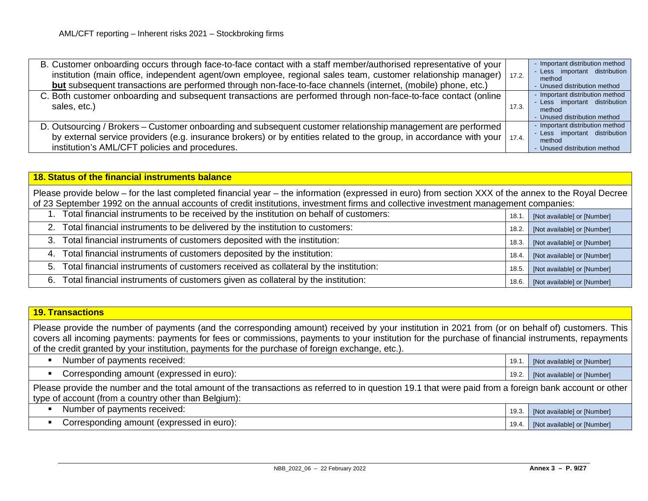| B. Customer onboarding occurs through face-to-face contact with a staff member/authorised representative of your<br>institution (main office, independent agent/own employee, regional sales team, customer relationship manager)   17.2.<br>but subsequent transactions are performed through non-face-to-face channels (internet, (mobile) phone, etc.) |       | - Important distribution method<br>- Less important distribution<br>method<br>- Unused distribution method |
|-----------------------------------------------------------------------------------------------------------------------------------------------------------------------------------------------------------------------------------------------------------------------------------------------------------------------------------------------------------|-------|------------------------------------------------------------------------------------------------------------|
| C. Both customer onboarding and subsequent transactions are performed through non-face-to-face contact (online<br>sales, etc.)                                                                                                                                                                                                                            | 17.3. | - Important distribution method<br>- Less important distribution<br>method<br>- Unused distribution method |
| D. Outsourcing / Brokers – Customer onboarding and subsequent customer relationship management are performed<br>by external service providers (e.g. insurance brokers) or by entities related to the group, in accordance with your   17.4.<br>institution's AML/CFT policies and procedures.                                                             |       | - Important distribution method<br>- Less important distribution<br>method<br>- Unused distribution method |

## **18. Status of the financial instruments balance**

Please provide below – for the last completed financial year – the information (expressed in euro) from section XXX of the annex to the Royal Decree of 23 September 1992 on the annual accounts of credit institutions, investment firms and collective investment management companies:

| Total financial instruments to be received by the institution on behalf of customers:  | 18.1. | [Not available] or [Number] |
|----------------------------------------------------------------------------------------|-------|-----------------------------|
| 2. Total financial instruments to be delivered by the institution to customers:        | 18.2. | [Not available] or [Number] |
| 3. Total financial instruments of customers deposited with the institution:            | 18.3. | [Not available] or [Number] |
| 4. Total financial instruments of customers deposited by the institution:              | 18.4. | [Not available] or [Number] |
| 5. Total financial instruments of customers received as collateral by the institution: | 18.5. | [Not available] or [Number] |
| 6. Total financial instruments of customers given as collateral by the institution:    | 18.6. | [Not available] or [Number] |

#### **19. Transactions**

Please provide the number of payments (and the corresponding amount) received by your institution in 2021 from (or on behalf of) customers. This covers all incoming payments: payments for fees or commissions, payments to your institution for the purchase of financial instruments, repayments of the credit granted by your institution, payments for the purchase of foreign exchange, etc.).

| Number of payments received:              | 19.  | [Not available] or [Number] |
|-------------------------------------------|------|-----------------------------|
| Corresponding amount (expressed in euro): | 19.2 | [Not available] or [Number] |

|                                                      | Please provide the number and the total amount of the transactions as referred to in question 19.1 that were paid from a foreign bank account or other |  |
|------------------------------------------------------|--------------------------------------------------------------------------------------------------------------------------------------------------------|--|
| type of account (from a country other than Belgium): |                                                                                                                                                        |  |

| t pavments received:<br>Number            | 19.3 | [Not available] or [Number] |
|-------------------------------------------|------|-----------------------------|
| Corresponding amount (expressed in euro): | 19.4 | [Not available] or [Number] |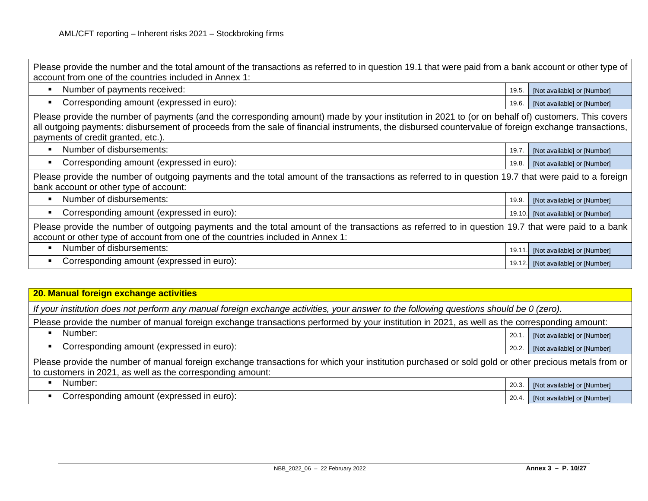| Please provide the number and the total amount of the transactions as referred to in question 19.1 that were paid from a bank account or other type of<br>account from one of the countries included in Annex 1:                                                                                                                                |        |                             |  |
|-------------------------------------------------------------------------------------------------------------------------------------------------------------------------------------------------------------------------------------------------------------------------------------------------------------------------------------------------|--------|-----------------------------|--|
| Number of payments received:<br>п                                                                                                                                                                                                                                                                                                               | 19.5.  | [Not available] or [Number] |  |
| Corresponding amount (expressed in euro):                                                                                                                                                                                                                                                                                                       | 19.6.  | [Not available] or [Number] |  |
| Please provide the number of payments (and the corresponding amount) made by your institution in 2021 to (or on behalf of) customers. This covers<br>all outgoing payments: disbursement of proceeds from the sale of financial instruments, the disbursed countervalue of foreign exchange transactions,<br>payments of credit granted, etc.). |        |                             |  |
| Number of disbursements:                                                                                                                                                                                                                                                                                                                        | 19.7.  | [Not available] or [Number] |  |
| Corresponding amount (expressed in euro):                                                                                                                                                                                                                                                                                                       | 19.8.  | [Not available] or [Number] |  |
| Please provide the number of outgoing payments and the total amount of the transactions as referred to in question 19.7 that were paid to a foreign<br>bank account or other type of account:                                                                                                                                                   |        |                             |  |
| Number of disbursements:<br>٠                                                                                                                                                                                                                                                                                                                   | 19.9.  | [Not available] or [Number] |  |
| Corresponding amount (expressed in euro):                                                                                                                                                                                                                                                                                                       | 19.10. | [Not available] or [Number] |  |
| Please provide the number of outgoing payments and the total amount of the transactions as referred to in question 19.7 that were paid to a bank<br>account or other type of account from one of the countries included in Annex 1:                                                                                                             |        |                             |  |
| Number of disbursements:                                                                                                                                                                                                                                                                                                                        | 19.11  | [Not available] or [Number] |  |
| Corresponding amount (expressed in euro):                                                                                                                                                                                                                                                                                                       | 19.12. | [Not available] or [Number] |  |
|                                                                                                                                                                                                                                                                                                                                                 |        |                             |  |

| 20. Manual foreign exchange activities                                                                                                                                                                             |       |                             |  |
|--------------------------------------------------------------------------------------------------------------------------------------------------------------------------------------------------------------------|-------|-----------------------------|--|
| If your institution does not perform any manual foreign exchange activities, your answer to the following questions should be 0 (zero).                                                                            |       |                             |  |
| Please provide the number of manual foreign exchange transactions performed by your institution in 2021, as well as the corresponding amount:                                                                      |       |                             |  |
| Number:                                                                                                                                                                                                            | 20.1  | [Not available] or [Number] |  |
| Corresponding amount (expressed in euro):                                                                                                                                                                          | 20.2. | [Not available] or [Number] |  |
| Please provide the number of manual foreign exchange transactions for which your institution purchased or sold gold or other precious metals from or<br>to customers in 2021, as well as the corresponding amount: |       |                             |  |
| Number:                                                                                                                                                                                                            | 20.3  | [Not available] or [Number] |  |
| Corresponding amount (expressed in euro):                                                                                                                                                                          | 20.4. | [Not available] or [Number] |  |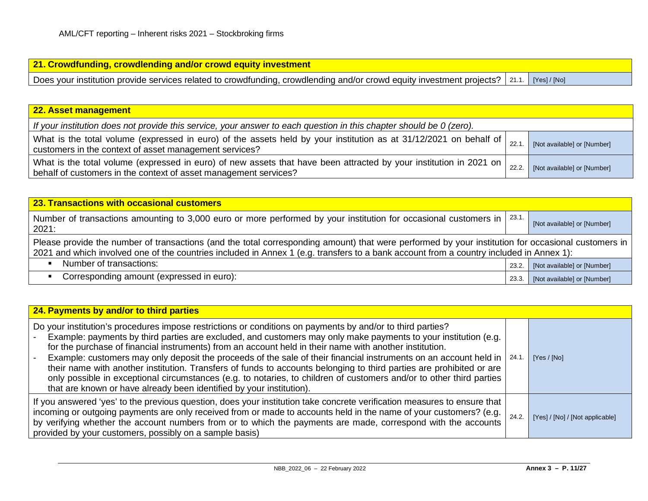| 21. Crowdfunding, crowdlending and/or crowd equity investment                                                                              |  |
|--------------------------------------------------------------------------------------------------------------------------------------------|--|
| Does your institution provide services related to crowdfunding, crowdlending and/or crowd equity investment projects?   21.1.   [Yes]/[No] |  |

| 22. Asset management                                                                                                                                                                      |       |                             |
|-------------------------------------------------------------------------------------------------------------------------------------------------------------------------------------------|-------|-----------------------------|
| If your institution does not provide this service, your answer to each question in this chapter should be 0 (zero).                                                                       |       |                             |
| What is the total volume (expressed in euro) of the assets held by your institution as at 31/12/2021 on behalf of $\vert$ 22.1.<br>customers in the context of asset management services? |       | [Not available] or [Number] |
| What is the total volume (expressed in euro) of new assets that have been attracted by your institution in 2021 on<br>behalf of customers in the context of asset management services?    | 22.2. | [Not available] or [Number] |

| 23. Transactions with occasional customers                                                                                                                                                                                                                                                    |       |                             |  |
|-----------------------------------------------------------------------------------------------------------------------------------------------------------------------------------------------------------------------------------------------------------------------------------------------|-------|-----------------------------|--|
| 23.1.<br>Number of transactions amounting to 3,000 euro or more performed by your institution for occasional customers in  <br>2021:                                                                                                                                                          |       | [Not available] or [Number] |  |
| Please provide the number of transactions (and the total corresponding amount) that were performed by your institution for occasional customers in<br>2021 and which involved one of the countries included in Annex 1 (e.g. transfers to a bank account from a country included in Annex 1): |       |                             |  |
| Number of transactions:<br>$\blacksquare$                                                                                                                                                                                                                                                     | 23.2. | [Not available] or [Number] |  |
| Corresponding amount (expressed in euro):                                                                                                                                                                                                                                                     | 23.3. | [Not available] or [Number] |  |

| 24. Payments by and/or to third parties                                                                                                                                                                                                                                                                                                                                                                                                                                                                                                                                                                                                                                                                                                                                                       |      |                                 |  |
|-----------------------------------------------------------------------------------------------------------------------------------------------------------------------------------------------------------------------------------------------------------------------------------------------------------------------------------------------------------------------------------------------------------------------------------------------------------------------------------------------------------------------------------------------------------------------------------------------------------------------------------------------------------------------------------------------------------------------------------------------------------------------------------------------|------|---------------------------------|--|
| Do your institution's procedures impose restrictions or conditions on payments by and/or to third parties?<br>Example: payments by third parties are excluded, and customers may only make payments to your institution (e.g.<br>for the purchase of financial instruments) from an account held in their name with another institution.<br>Example: customers may only deposit the proceeds of the sale of their financial instruments on an account held in   24.1.<br>their name with another institution. Transfers of funds to accounts belonging to third parties are prohibited or are<br>only possible in exceptional circumstances (e.g. to notaries, to children of customers and/or to other third parties<br>that are known or have already been identified by your institution). |      | [Yes / [No]                     |  |
| If you answered 'yes' to the previous question, does your institution take concrete verification measures to ensure that<br>incoming or outgoing payments are only received from or made to accounts held in the name of your customers? (e.g.  <br>by verifying whether the account numbers from or to which the payments are made, correspond with the accounts  <br>provided by your customers, possibly on a sample basis)                                                                                                                                                                                                                                                                                                                                                                | 24.2 | [Yes] / [No] / [Not applicable] |  |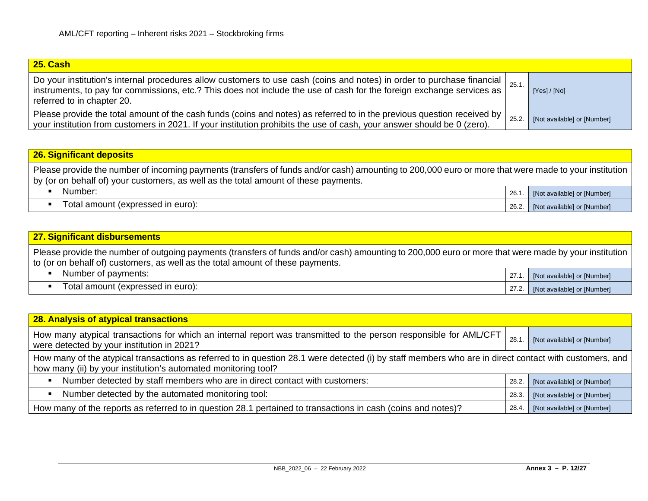| 25. Cash                                                                                                                                                                                                                                                                                     |       |                             |
|----------------------------------------------------------------------------------------------------------------------------------------------------------------------------------------------------------------------------------------------------------------------------------------------|-------|-----------------------------|
| Do your institution's internal procedures allow customers to use cash (coins and notes) in order to purchase financial $\vert_{25.1}$<br>instruments, to pay for commissions, etc.? This does not include the use of cash for the foreign exchange services as<br>referred to in chapter 20. |       | [Yes]/[No]                  |
| Please provide the total amount of the cash funds (coins and notes) as referred to in the previous question received by  <br>your institution from customers in 2021. If your institution prohibits the use of cash, your answer should be 0 (zero).                                         | 25.2. | [Not available] or [Number] |

# **26. Significant deposits**

Please provide the number of incoming payments (transfers of funds and/or cash) amounting to 200,000 euro or more that were made to your institution by (or on behalf of) your customers, as well as the total amount of these payments.

| Number:                           | 26.   | [Not available] or [Number] |
|-----------------------------------|-------|-----------------------------|
| Total amount (expressed in euro): | 26.2. | [Not available] or [Number] |

| 27. Significant disbursements                                                                                                                                                                                                          |        |                             |
|----------------------------------------------------------------------------------------------------------------------------------------------------------------------------------------------------------------------------------------|--------|-----------------------------|
| Please provide the number of outgoing payments (transfers of funds and/or cash) amounting to 200,000 euro or more that were made by your institution<br>to (or on behalf of) customers, as well as the total amount of these payments. |        |                             |
| Number of payments:                                                                                                                                                                                                                    | 27.1.  | [Not available] or [Number] |
| Total amount (expressed in euro):                                                                                                                                                                                                      | 27.2.1 | [Not available] or [Number] |

| 28. Analysis of atypical transactions                                                                                                                                                                                    |       |                             |
|--------------------------------------------------------------------------------------------------------------------------------------------------------------------------------------------------------------------------|-------|-----------------------------|
| How many atypical transactions for which an internal report was transmitted to the person responsible for AML/CFT<br>were detected by your institution in 2021?                                                          | 28.1  | [Not available] or [Number] |
| How many of the atypical transactions as referred to in question 28.1 were detected (i) by staff members who are in direct contact with customers, and<br>how many (ii) by your institution's automated monitoring tool? |       |                             |
| Number detected by staff members who are in direct contact with customers:                                                                                                                                               | 28.2. | [Not available] or [Number] |
| Number detected by the automated monitoring tool:                                                                                                                                                                        | 28.3. | [Not available] or [Number] |
| How many of the reports as referred to in question 28.1 pertained to transactions in cash (coins and notes)?                                                                                                             | 28.4. | [Not available] or [Number] |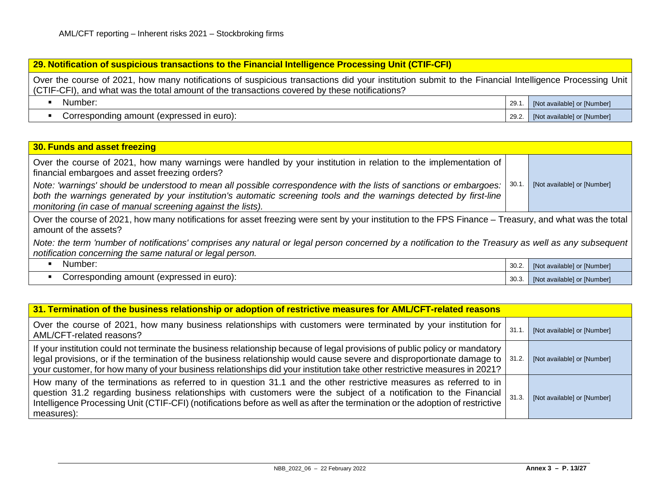#### **29. Notification of suspicious transactions to the Financial Intelligence Processing Unit (CTIF-CFI)**

Over the course of 2021, how many notifications of suspicious transactions did your institution submit to the Financial Intelligence Processing Unit (CTIF-CFI), and what was the total amount of the transactions covered by these notifications?

| Number:                                   | 29.7  | <b>INot availablel or INumberl</b> |
|-------------------------------------------|-------|------------------------------------|
| Corresponding amount (expressed in euro): | 29.2. | [Not available] or [Number]        |

## **30. Funds and asset freezing** Over the course of 2021, how many warnings were handled by your institution in relation to the implementation of financial embargoes and asset freezing orders? *Note: 'warnings' should be understood to mean all possible correspondence with the lists of sanctions or embargoes: both the warnings generated by your institution's automatic screening tools and the warnings detected by first-line monitoring (in case of manual screening against the lists).* 30.1. [Not available] or [Number] Over the course of 2021, how many notifications for asset freezing were sent by your institution to the FPS Finance – Treasury, and what was the total amount of the assets? *Note: the term 'number of notifications' comprises any natural or legal person concerned by a notification to the Treasury as well as any subsequent notification concerning the same natural or legal person.*  $\blacksquare$  Number:  $\blacksquare$  30.2. [Not available] or [Number] Corresponding amount (expressed in euro): 30.3. [Not available] or [Number]

| 31. Termination of the business relationship or adoption of restrictive measures for AML/CFT-related reasons                                                                                                                                                                                                                                                                              |       |                             |  |
|-------------------------------------------------------------------------------------------------------------------------------------------------------------------------------------------------------------------------------------------------------------------------------------------------------------------------------------------------------------------------------------------|-------|-----------------------------|--|
| Over the course of 2021, how many business relationships with customers were terminated by your institution for<br>AML/CFT-related reasons?                                                                                                                                                                                                                                               | 31.1  | [Not available] or [Number] |  |
| If your institution could not terminate the business relationship because of legal provisions of public policy or mandatory<br>legal provisions, or if the termination of the business relationship would cause severe and disproportionate damage to   31.2.<br>your customer, for how many of your business relationships did your institution take other restrictive measures in 2021? |       | [Not available] or [Number] |  |
| How many of the terminations as referred to in question 31.1 and the other restrictive measures as referred to in<br>question 31.2 regarding business relationships with customers were the subject of a notification to the Financial<br>Intelligence Processing Unit (CTIF-CFI) (notifications before as well as after the termination or the adoption of restrictive<br>measures):     | 31.3. | [Not available] or [Number] |  |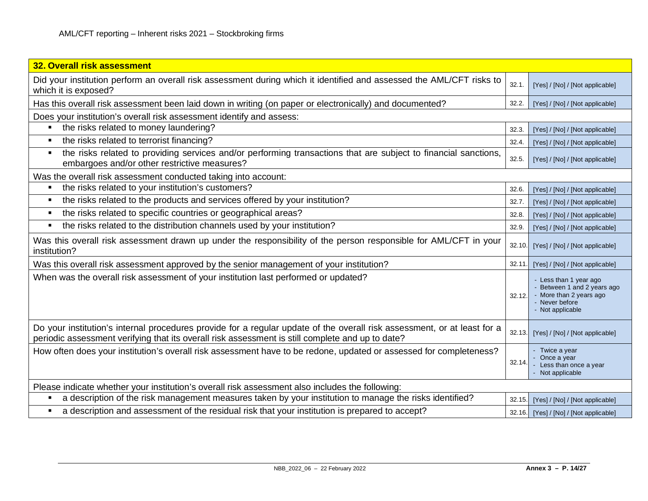| 32. Overall risk assessment                                                                                                                                                                                                  |        |                                                                                                                        |
|------------------------------------------------------------------------------------------------------------------------------------------------------------------------------------------------------------------------------|--------|------------------------------------------------------------------------------------------------------------------------|
| Did your institution perform an overall risk assessment during which it identified and assessed the AML/CFT risks to<br>which it is exposed?                                                                                 | 32.1.  | [Yes] / [No] / [Not applicable]                                                                                        |
| Has this overall risk assessment been laid down in writing (on paper or electronically) and documented?                                                                                                                      | 32.2.  | [Yes] / [No] / [Not applicable]                                                                                        |
| Does your institution's overall risk assessment identify and assess:                                                                                                                                                         |        |                                                                                                                        |
| the risks related to money laundering?                                                                                                                                                                                       | 32.3.  | [Yes] / [No] / [Not applicable]                                                                                        |
| the risks related to terrorist financing?                                                                                                                                                                                    | 32.4.  | [Yes] / [No] / [Not applicable]                                                                                        |
| the risks related to providing services and/or performing transactions that are subject to financial sanctions,<br>п<br>embargoes and/or other restrictive measures?                                                         | 32.5.  | [Yes] / [No] / [Not applicable]                                                                                        |
| Was the overall risk assessment conducted taking into account:                                                                                                                                                               |        |                                                                                                                        |
| the risks related to your institution's customers?<br>$\blacksquare$                                                                                                                                                         | 32.6.  | [Yes] / [No] / [Not applicable]                                                                                        |
| the risks related to the products and services offered by your institution?<br>п                                                                                                                                             | 32.7.  | [Yes] / [No] / [Not applicable]                                                                                        |
| the risks related to specific countries or geographical areas?<br>л                                                                                                                                                          | 32.8.  | [Yes] / [No] / [Not applicable]                                                                                        |
| the risks related to the distribution channels used by your institution?<br>$\blacksquare$                                                                                                                                   | 32.9.  | [Yes] / [No] / [Not applicable]                                                                                        |
| Was this overall risk assessment drawn up under the responsibility of the person responsible for AML/CFT in your<br>institution?                                                                                             | 32.10. | [Yes] / [No] / [Not applicable]                                                                                        |
| Was this overall risk assessment approved by the senior management of your institution?                                                                                                                                      | 32.11. | [Yes] / [No] / [Not applicable]                                                                                        |
| When was the overall risk assessment of your institution last performed or updated?                                                                                                                                          | 32.12. | - Less than 1 year ago<br>- Between 1 and 2 years ago<br>- More than 2 years ago<br>- Never before<br>- Not applicable |
| Do your institution's internal procedures provide for a regular update of the overall risk assessment, or at least for a<br>periodic assessment verifying that its overall risk assessment is still complete and up to date? | 32.13. | [Yes] / [No] / [Not applicable]                                                                                        |
| How often does your institution's overall risk assessment have to be redone, updated or assessed for completeness?                                                                                                           | 32.14. | - Twice a year<br>- Once a year<br>Less than once a year<br>- Not applicable                                           |
| Please indicate whether your institution's overall risk assessment also includes the following:                                                                                                                              |        |                                                                                                                        |
| a description of the risk management measures taken by your institution to manage the risks identified?                                                                                                                      | 32.15. | [Yes] / [No] / [Not applicable]                                                                                        |
| a description and assessment of the residual risk that your institution is prepared to accept?                                                                                                                               |        | 32.16. [Yes] / [No] / [Not applicable]                                                                                 |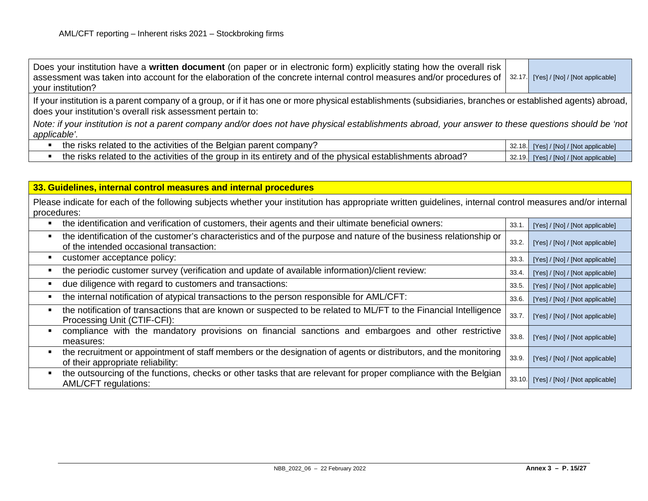| Does your institution have a written document (on paper or in electronic form) explicitly stating how the overall risk<br>assessment was taken into account for the elaboration of the concrete internal control measures and/or procedures of $\frac{32.17}{}$ [Yes]/[No]/[Not applicable]<br>your institution? |  |                                        |  |
|------------------------------------------------------------------------------------------------------------------------------------------------------------------------------------------------------------------------------------------------------------------------------------------------------------------|--|----------------------------------------|--|
| If your institution is a parent company of a group, or if it has one or more physical establishments (subsidiaries, branches or established agents) abroad,  <br>does your institution's overall risk assessment pertain to:                                                                                     |  |                                        |  |
| Note: if your institution is not a parent company and/or does not have physical establishments abroad, your answer to these questions should be 'not  <br>applicable'.                                                                                                                                           |  |                                        |  |
| the risks related to the activities of the Belgian parent company?                                                                                                                                                                                                                                               |  | 32.18. [Yes] / [No] / [Not applicable] |  |
| the risks related to the activities of the group in its entirety and of the physical establishments abroad?                                                                                                                                                                                                      |  | 32.19. [Yes] / [No] / [Not applicable] |  |

| 33. Guidelines, internal control measures and internal procedures                                                                                                        |        |                                 |
|--------------------------------------------------------------------------------------------------------------------------------------------------------------------------|--------|---------------------------------|
| Please indicate for each of the following subjects whether your institution has appropriate written guidelines, internal control measures and/or internal<br>procedures: |        |                                 |
| the identification and verification of customers, their agents and their ultimate beneficial owners:                                                                     | 33.1   | [Yes] / [No] / [Not applicable] |
| the identification of the customer's characteristics and of the purpose and nature of the business relationship or<br>of the intended occasional transaction:            | 33.2.  | [Yes] / [No] / [Not applicable] |
| customer acceptance policy:                                                                                                                                              | 33.3.  | [Yes] / [No] / [Not applicable] |
| the periodic customer survey (verification and update of available information)/client review:                                                                           | 33.4.  | [Yes] / [No] / [Not applicable] |
| due diligence with regard to customers and transactions:                                                                                                                 | 33.5.  | [Yes] / [No] / [Not applicable] |
| the internal notification of atypical transactions to the person responsible for AML/CFT:                                                                                | 33.6.  | [Yes] / [No] / [Not applicable] |
| the notification of transactions that are known or suspected to be related to ML/FT to the Financial Intelligence<br>Processing Unit (CTIF-CFI):                         | 33.7.  | [Yes] / [No] / [Not applicable] |
| compliance with the mandatory provisions on financial sanctions and embargoes and other restrictive<br>measures:                                                         | 33.8.  | [Yes] / [No] / [Not applicable] |
| the recruitment or appointment of staff members or the designation of agents or distributors, and the monitoring<br>of their appropriate reliability:                    | 33.9.  | [Yes] / [No] / [Not applicable] |
| the outsourcing of the functions, checks or other tasks that are relevant for proper compliance with the Belgian<br>AML/CFT regulations:                                 | 33.10. | [Yes] / [No] / [Not applicable] |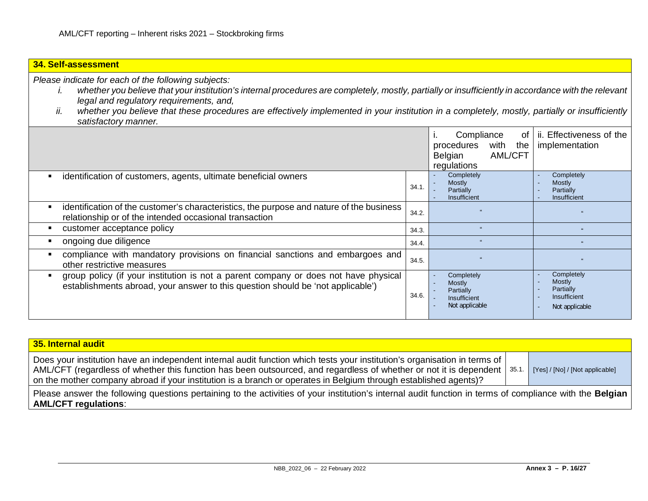## **34. Self-assessment**

*Please indicate for each of the following subjects:*

- *i. whether you believe that your institution's internal procedures are completely, mostly, partially or insufficiently in accordance with the relevant legal and regulatory requirements, and,*
- *ii. whether you believe that these procedures are effectively implemented in your institution in a completely, mostly, partially or insufficiently satisfactory manner.*

|                                                                                                                                                                        |       | Compliance<br>0f<br>ь.<br>with<br>the<br>procedures<br>Belgian<br><b>AML/CFT</b><br>regulations | ii. Effectiveness of the<br>implementation                                 |
|------------------------------------------------------------------------------------------------------------------------------------------------------------------------|-------|-------------------------------------------------------------------------------------------------|----------------------------------------------------------------------------|
| identification of customers, agents, ultimate beneficial owners                                                                                                        | 34.1. | Completely<br>$\sim$<br><b>Mostly</b><br>Partially<br>Insufficient                              | Completely<br>Mostly<br>Partially<br>Insufficient                          |
| identification of the customer's characteristics, the purpose and nature of the business<br>relationship or of the intended occasional transaction                     | 34.2. |                                                                                                 |                                                                            |
| customer acceptance policy                                                                                                                                             | 34.3. |                                                                                                 |                                                                            |
| ongoing due diligence                                                                                                                                                  | 34.4. | $\mathbf{G}$                                                                                    | 66                                                                         |
| compliance with mandatory provisions on financial sanctions and embargoes and<br>other restrictive measures                                                            | 34.5. |                                                                                                 | $\alpha$                                                                   |
| group policy (if your institution is not a parent company or does not have physical<br>establishments abroad, your answer to this question should be 'not applicable') | 34.6. | Completely<br><b>Mostly</b><br>Partially<br>Insufficient<br>$\sim$<br>Not applicable            | Completely<br><b>Mostly</b><br>Partially<br>Insufficient<br>Not applicable |

| 35. Internal audit                                                                                                                                                                                                                                                                                                                                                          |                                 |
|-----------------------------------------------------------------------------------------------------------------------------------------------------------------------------------------------------------------------------------------------------------------------------------------------------------------------------------------------------------------------------|---------------------------------|
| Does your institution have an independent internal audit function which tests your institution's organisation in terms of<br>AML/CFT (regardless of whether this function has been outsourced, and regardless of whether or not it is dependent   35.1.<br>on the mother company abroad if your institution is a branch or operates in Belgium through established agents)? | [Yes] / [No] / [Not applicable] |
| Please answer the following questions pertaining to the activities of your institution's internal audit function in terms of compliance with the Belgian<br><b>AML/CFT regulations:</b>                                                                                                                                                                                     |                                 |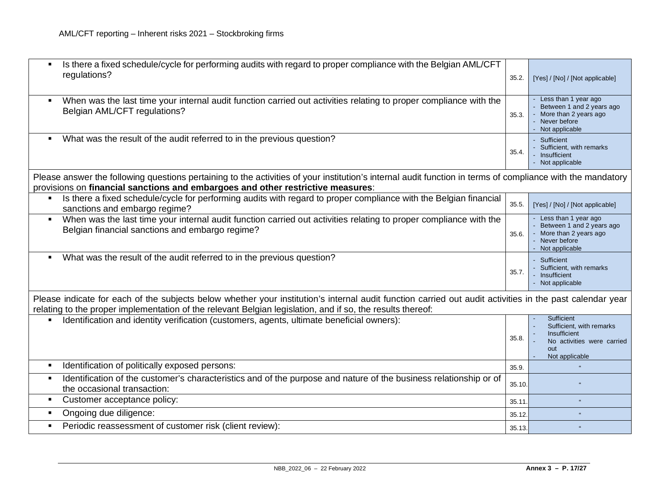| Is there a fixed schedule/cycle for performing audits with regard to proper compliance with the Belgian AML/CFT<br>regulations?                                                                                                                                        | 35.2.  | [Yes] / [No] / [Not applicable]                                                                                |
|------------------------------------------------------------------------------------------------------------------------------------------------------------------------------------------------------------------------------------------------------------------------|--------|----------------------------------------------------------------------------------------------------------------|
| When was the last time your internal audit function carried out activities relating to proper compliance with the<br>Belgian AML/CFT regulations?                                                                                                                      | 35.3.  | - Less than 1 year ago<br>Between 1 and 2 years ago<br>More than 2 years ago<br>Never before<br>Not applicable |
| What was the result of the audit referred to in the previous question?                                                                                                                                                                                                 | 35.4.  | - Sufficient<br>- Sufficient, with remarks<br>Insufficient<br>- Not applicable                                 |
| Please answer the following questions pertaining to the activities of your institution's internal audit function in terms of compliance with the mandatory<br>provisions on financial sanctions and embargoes and other restrictive measures:                          |        |                                                                                                                |
| Is there a fixed schedule/cycle for performing audits with regard to proper compliance with the Belgian financial<br>sanctions and embargo regime?                                                                                                                     | 35.5.  | [Yes] / [No] / [Not applicable]                                                                                |
| When was the last time your internal audit function carried out activities relating to proper compliance with the<br>$\blacksquare$<br>Belgian financial sanctions and embargo regime?                                                                                 | 35.6.  | Less than 1 year ago<br>Between 1 and 2 years ago<br>More than 2 years ago<br>Never before<br>Not applicable   |
| What was the result of the audit referred to in the previous question?                                                                                                                                                                                                 | 35.7.  | - Sufficient<br>Sufficient, with remarks<br>Insufficient<br>- Not applicable                                   |
| Please indicate for each of the subjects below whether your institution's internal audit function carried out audit activities in the past calendar year<br>relating to the proper implementation of the relevant Belgian legislation, and if so, the results thereof: |        |                                                                                                                |
| Identification and identity verification (customers, agents, ultimate beneficial owners):                                                                                                                                                                              | 35.8.  | Sufficient<br>Sufficient, with remarks<br>Insufficient<br>No activities were carried<br>out<br>Not applicable  |
| Identification of politically exposed persons:                                                                                                                                                                                                                         | 35.9.  |                                                                                                                |
| Identification of the customer's characteristics and of the purpose and nature of the business relationship or of<br>the occasional transaction:                                                                                                                       | 35.10. |                                                                                                                |
| Customer acceptance policy:                                                                                                                                                                                                                                            | 35.11  |                                                                                                                |
| Ongoing due diligence:                                                                                                                                                                                                                                                 | 35.12  | $\epsilon$                                                                                                     |
| Periodic reassessment of customer risk (client review):                                                                                                                                                                                                                | 35.13. |                                                                                                                |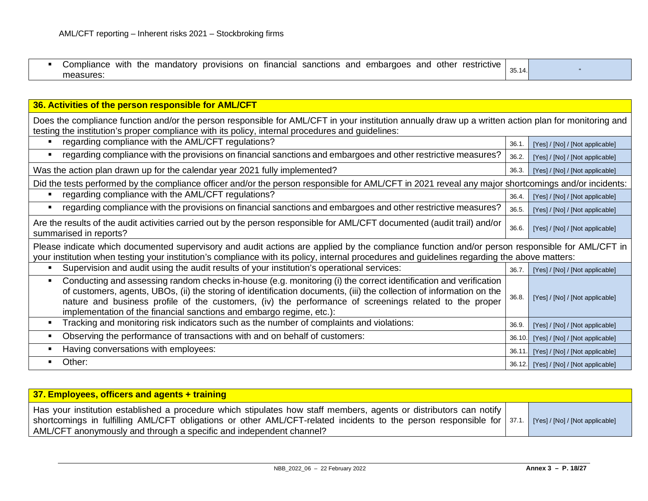| the<br>prov<br>sanctions<br>and<br>tinancia<br>other<br>anc<br>embargoes<br><b>VISIONS</b><br>∵ restrictive<br>.on<br>mandatory<br>Compliance<br>with<br>. . | 35.14. |  |
|--------------------------------------------------------------------------------------------------------------------------------------------------------------|--------|--|
| measures                                                                                                                                                     |        |  |

| 36. Activities of the person responsible for AML/CFT                                                                                                                                                                                                                                                                                                                                                                       |        |                                        |  |
|----------------------------------------------------------------------------------------------------------------------------------------------------------------------------------------------------------------------------------------------------------------------------------------------------------------------------------------------------------------------------------------------------------------------------|--------|----------------------------------------|--|
| Does the compliance function and/or the person responsible for AML/CFT in your institution annually draw up a written action plan for monitoring and<br>testing the institution's proper compliance with its policy, internal procedures and guidelines:                                                                                                                                                                   |        |                                        |  |
| regarding compliance with the AML/CFT regulations?                                                                                                                                                                                                                                                                                                                                                                         | 36.1   | [Yes] / [No] / [Not applicable]        |  |
| regarding compliance with the provisions on financial sanctions and embargoes and other restrictive measures?                                                                                                                                                                                                                                                                                                              | 36.2.  | [Yes] / [No] / [Not applicable]        |  |
| Was the action plan drawn up for the calendar year 2021 fully implemented?                                                                                                                                                                                                                                                                                                                                                 | 36.3.  | [Yes] / [No] / [Not applicable]        |  |
| Did the tests performed by the compliance officer and/or the person responsible for AML/CFT in 2021 reveal any major shortcomings and/or incidents:                                                                                                                                                                                                                                                                        |        |                                        |  |
| regarding compliance with the AML/CFT regulations?                                                                                                                                                                                                                                                                                                                                                                         | 36.4.  | [Yes] / [No] / [Not applicable]        |  |
| regarding compliance with the provisions on financial sanctions and embargoes and other restrictive measures?                                                                                                                                                                                                                                                                                                              | 36.5.  | [Yes] / [No] / [Not applicable]        |  |
| Are the results of the audit activities carried out by the person responsible for AML/CFT documented (audit trail) and/or<br>summarised in reports?                                                                                                                                                                                                                                                                        | 36.6.  | [Yes] / [No] / [Not applicable]        |  |
| Please indicate which documented supervisory and audit actions are applied by the compliance function and/or person responsible for AML/CFT in<br>your institution when testing your institution's compliance with its policy, internal procedures and guidelines regarding the above matters:                                                                                                                             |        |                                        |  |
| Supervision and audit using the audit results of your institution's operational services:                                                                                                                                                                                                                                                                                                                                  | 36.7.  | [Yes] / [No] / [Not applicable]        |  |
| Conducting and assessing random checks in-house (e.g. monitoring (i) the correct identification and verification<br>of customers, agents, UBOs, (ii) the storing of identification documents, (iii) the collection of information on the<br>nature and business profile of the customers, (iv) the performance of screenings related to the proper<br>implementation of the financial sanctions and embargo regime, etc.): | 36.8.  | [Yes] / [No] / [Not applicable]        |  |
| Tracking and monitoring risk indicators such as the number of complaints and violations:                                                                                                                                                                                                                                                                                                                                   | 36.9.  | [Yes] / [No] / [Not applicable]        |  |
| Observing the performance of transactions with and on behalf of customers:                                                                                                                                                                                                                                                                                                                                                 | 36.10. | [Yes] / [No] / [Not applicable]        |  |
| Having conversations with employees:                                                                                                                                                                                                                                                                                                                                                                                       | 36.11. | [Yes] / [No] / [Not applicable]        |  |
| Other:                                                                                                                                                                                                                                                                                                                                                                                                                     |        | 36.12. [Yes] / [No] / [Not applicable] |  |

| 37. Employees, officers and agents + training                                                                                                                                                                                                                                                                                                    |  |
|--------------------------------------------------------------------------------------------------------------------------------------------------------------------------------------------------------------------------------------------------------------------------------------------------------------------------------------------------|--|
| Has your institution established a procedure which stipulates how staff members, agents or distributors can notify<br>Shortcomings in fulfilling AML/CFT obligations or other AML/CFT-related incidents to the person responsible for   37.1. [Yes]/[No]/[Not applicable]<br>AML/CFT anonymously and through a specific and independent channel? |  |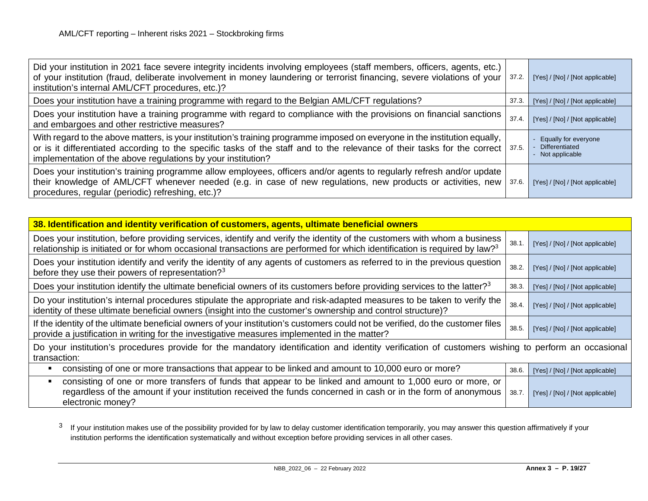<span id="page-18-0"></span>

| Did your institution in 2021 face severe integrity incidents involving employees (staff members, officers, agents, etc.)<br>of your institution (fraud, deliberate involvement in money laundering or terrorist financing, severe violations of your   37.2.<br>institution's internal AML/CFT procedures, etc.)?              |       | [Yes] / [No] / [Not applicable]                          |
|--------------------------------------------------------------------------------------------------------------------------------------------------------------------------------------------------------------------------------------------------------------------------------------------------------------------------------|-------|----------------------------------------------------------|
| Does your institution have a training programme with regard to the Belgian AML/CFT regulations?                                                                                                                                                                                                                                | 37.3. | [Yes] / [No] / [Not applicable]                          |
| Does your institution have a training programme with regard to compliance with the provisions on financial sanctions<br>and embargoes and other restrictive measures?                                                                                                                                                          | 37.4  | [Yes] / [No] / [Not applicable]                          |
| With regard to the above matters, is your institution's training programme imposed on everyone in the institution equally,<br>or is it differentiated according to the specific tasks of the staff and to the relevance of their tasks for the correct   37.5.<br>implementation of the above regulations by your institution? |       | Equally for everyone<br>Differentiated<br>Not applicable |
| Does your institution's training programme allow employees, officers and/or agents to regularly refresh and/or update<br>their knowledge of AML/CFT whenever needed (e.g. in case of new regulations, new products or activities, new  <br>procedures, regular (periodic) refreshing, etc.)?                                   | 37.6. | [Yes] / [No] / [Not applicable]                          |

| 38. Identification and identity verification of customers, agents, ultimate beneficial owners                                                                                                                                                                     |       |                                 |  |
|-------------------------------------------------------------------------------------------------------------------------------------------------------------------------------------------------------------------------------------------------------------------|-------|---------------------------------|--|
| Does your institution, before providing services, identify and verify the identity of the customers with whom a business<br>relationship is initiated or for whom occasional transactions are performed for which identification is required by law? <sup>3</sup> | 38.1  | [Yes] / [No] / [Not applicable] |  |
| Does your institution identify and verify the identity of any agents of customers as referred to in the previous question<br>before they use their powers of representation? <sup>3</sup>                                                                         | 38.2. | [Yes] / [No] / [Not applicable] |  |
| Does your institution identify the ultimate beneficial owners of its customers before providing services to the latter? <sup>3</sup>                                                                                                                              | 38.3. | [Yes] / [No] / [Not applicable] |  |
| Do your institution's internal procedures stipulate the appropriate and risk-adapted measures to be taken to verify the<br>identity of these ultimate beneficial owners (insight into the customer's ownership and control structure)?                            | 38.4. | [Yes] / [No] / [Not applicable] |  |
| If the identity of the ultimate beneficial owners of your institution's customers could not be verified, do the customer files<br>provide a justification in writing for the investigative measures implemented in the matter?                                    | 38.5. | [Yes] / [No] / [Not applicable] |  |
| Do your institution's procedures provide for the mandatory identification and identity verification of customers wishing to perform an occasional<br>transaction:                                                                                                 |       |                                 |  |
| consisting of one or more transactions that appear to be linked and amount to 10,000 euro or more?                                                                                                                                                                | 38.6. | [Yes] / [No] / [Not applicable] |  |
| consisting of one or more transfers of funds that appear to be linked and amount to 1,000 euro or more, or<br>п<br>regardless of the amount if your institution received the funds concerned in cash or in the form of anonymous<br>electronic money?             | 38.7. | [Yes] / [No] / [Not applicable] |  |

<sup>3</sup> If your institution makes use of the possibility provided for by law to delay customer identification temporarily, you may answer this question affirmatively if your institution performs the identification systematically and without exception before providing services in all other cases.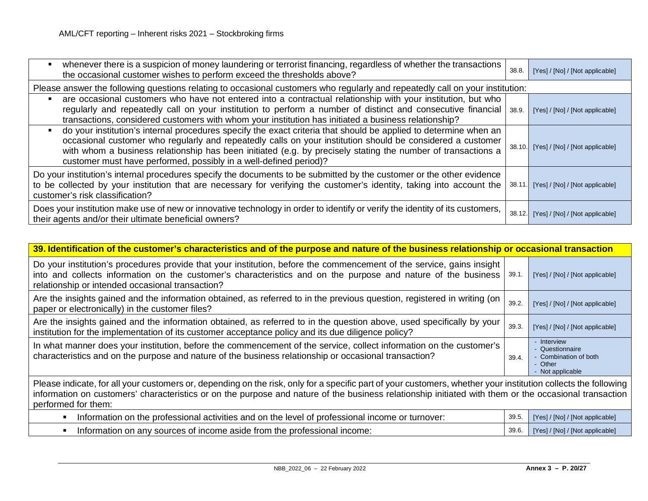| whenever there is a suspicion of money laundering or terrorist financing, regardless of whether the transactions<br>the occasional customer wishes to perform exceed the thresholds above?                                                                                                                                                                                                                                            | 38.8. | [Yes] / [No] / [Not applicable]        |
|---------------------------------------------------------------------------------------------------------------------------------------------------------------------------------------------------------------------------------------------------------------------------------------------------------------------------------------------------------------------------------------------------------------------------------------|-------|----------------------------------------|
| Please answer the following questions relating to occasional customers who regularly and repeatedly call on your institution:                                                                                                                                                                                                                                                                                                         |       |                                        |
| are occasional customers who have not entered into a contractual relationship with your institution, but who<br>regularly and repeatedly call on your institution to perform a number of distinct and consecutive financial   38.9.<br>transactions, considered customers with whom your institution has initiated a business relationship?                                                                                           |       | [Yes] / [No] / [Not applicable]        |
| do your institution's internal procedures specify the exact criteria that should be applied to determine when an<br>$\blacksquare$<br>occasional customer who regularly and repeatedly calls on your institution should be considered a customer<br>with whom a business relationship has been initiated (e.g. by precisely stating the number of transactions a<br>customer must have performed, possibly in a well-defined period)? |       | 38.10. [Yes] / [No] / [Not applicable] |
| Do your institution's internal procedures specify the documents to be submitted by the customer or the other evidence<br>to be collected by your institution that are necessary for verifying the customer's identity, taking into account the<br>customer's risk classification?                                                                                                                                                     | 38.11 | [Yes] / [No] / [Not applicable]        |
| Does your institution make use of new or innovative technology in order to identify or verify the identity of its customers,<br>their agents and/or their ultimate beneficial owners?                                                                                                                                                                                                                                                 |       | 38.12. [Yes] / [No] / [Not applicable] |

| 39. Identification of the customer's characteristics and of the purpose and nature of the business relationship or occasional transaction                                                                                                                                                                                                      |       |                                                                                        |
|------------------------------------------------------------------------------------------------------------------------------------------------------------------------------------------------------------------------------------------------------------------------------------------------------------------------------------------------|-------|----------------------------------------------------------------------------------------|
| Do your institution's procedures provide that your institution, before the commencement of the service, gains insight<br>into and collects information on the customer's characteristics and on the purpose and nature of the business  <br>relationship or intended occasional transaction?                                                   | 39.1. | [Yes] / [No] / [Not applicable]                                                        |
| Are the insights gained and the information obtained, as referred to in the previous question, registered in writing (on<br>paper or electronically) in the customer files?                                                                                                                                                                    | 39.2. | [Yes] / [No] / [Not applicable]                                                        |
| Are the insights gained and the information obtained, as referred to in the question above, used specifically by your<br>institution for the implementation of its customer acceptance policy and its due diligence policy?                                                                                                                    | 39.3. | [Yes] / [No] / [Not applicable]                                                        |
| In what manner does your institution, before the commencement of the service, collect information on the customer's<br>characteristics and on the purpose and nature of the business relationship or occasional transaction?                                                                                                                   | 39.4. | - Interview<br>- Questionnaire<br>- Combination of both<br>- Other<br>- Not applicable |
| Please indicate, for all your customers or, depending on the risk, only for a specific part of your customers, whether your institution collects the following<br>information on customers' characteristics or on the purpose and nature of the business relationship initiated with them or the occasional transaction<br>performed for them: |       |                                                                                        |

| Information on the professional activities and on the level of professional income or turnover: | / [Not applicable]<br>NOL.        |
|-------------------------------------------------------------------------------------------------|-----------------------------------|
| n on any sources of income aside from the professional income:<br>Inform:<br>lation             | / [Not applicable]<br><b>INOL</b> |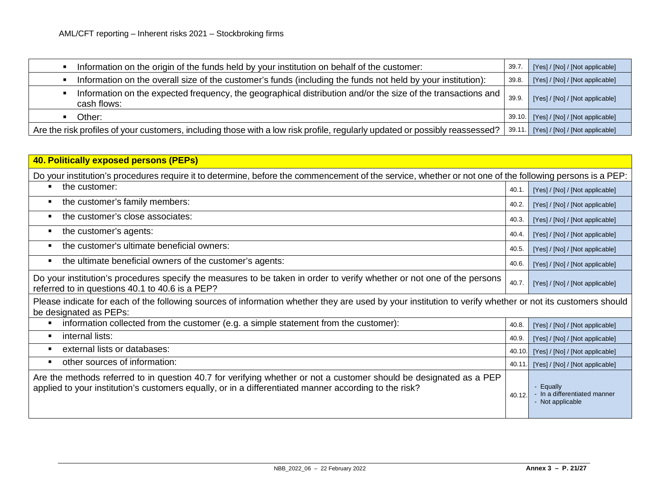| Information on the origin of the funds held by your institution on behalf of the customer:                                    | 39.7  | [Yes] / [No] / [Not applicable]        |
|-------------------------------------------------------------------------------------------------------------------------------|-------|----------------------------------------|
| Information on the overall size of the customer's funds (including the funds not held by your institution):                   | 39.8. | [Yes] / [No] / [Not applicable]        |
| Information on the expected frequency, the geographical distribution and/or the size of the transactions and  <br>cash flows: | 39.9. | [Yes] / [No] / [Not applicable]        |
| Other:                                                                                                                        |       | 39.10. [Yes] / [No] / [Not applicable] |
| Are the risk profiles of your customers, including those with a low risk profile, regularly updated or possibly reassessed?   |       | 39.11. [Yes] / [No] / [Not applicable] |

| 40. Politically exposed persons (PEPs)                                                                                                                                                                                      |       |                                                           |  |
|-----------------------------------------------------------------------------------------------------------------------------------------------------------------------------------------------------------------------------|-------|-----------------------------------------------------------|--|
| Do your institution's procedures require it to determine, before the commencement of the service, whether or not one of the following persons is a PEP:                                                                     |       |                                                           |  |
| the customer:                                                                                                                                                                                                               | 40.1. | [Yes] / [No] / [Not applicable]                           |  |
| the customer's family members:<br>п                                                                                                                                                                                         | 40.2. | [Yes] / [No] / [Not applicable]                           |  |
| the customer's close associates:<br>п                                                                                                                                                                                       | 40.3. | [Yes] / [No] / [Not applicable]                           |  |
| the customer's agents:<br>п                                                                                                                                                                                                 | 40.4. | [Yes] / [No] / [Not applicable]                           |  |
| the customer's ultimate beneficial owners:<br>$\blacksquare$                                                                                                                                                                | 40.5. | [Yes] / [No] / [Not applicable]                           |  |
| the ultimate beneficial owners of the customer's agents:<br>п                                                                                                                                                               | 40.6. | [Yes] / [No] / [Not applicable]                           |  |
| Do your institution's procedures specify the measures to be taken in order to verify whether or not one of the persons<br>40.7.<br>referred to in questions 40.1 to 40.6 is a PEP?                                          |       | [Yes] / [No] / [Not applicable]                           |  |
| Please indicate for each of the following sources of information whether they are used by your institution to verify whether or not its customers should<br>be designated as PEPs:                                          |       |                                                           |  |
| information collected from the customer (e.g. a simple statement from the customer):                                                                                                                                        | 40.8. | [Yes] / [No] / [Not applicable]                           |  |
| internal lists:<br>п                                                                                                                                                                                                        | 40.9. | [Yes] / [No] / [Not applicable]                           |  |
| external lists or databases:<br>п                                                                                                                                                                                           | 40.10 | [Yes] / [No] / [Not applicable]                           |  |
| other sources of information:                                                                                                                                                                                               | 40.11 | [Yes] / [No] / [Not applicable]                           |  |
| Are the methods referred to in question 40.7 for verifying whether or not a customer should be designated as a PEP<br>applied to your institution's customers equally, or in a differentiated manner according to the risk? | 40.12 | Equally<br>In a differentiated manner<br>- Not applicable |  |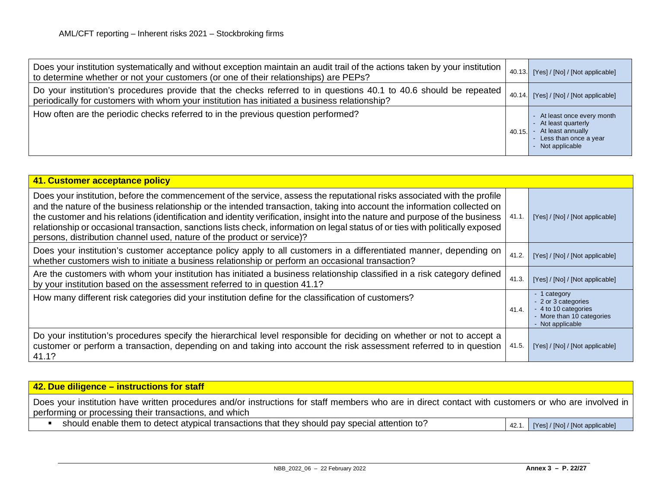| Does your institution systematically and without exception maintain an audit trail of the actions taken by your institution  <br>to determine whether or not your customers (or one of their relationships) are PEPs? | 40.13. | [Yes] / [No] / [Not applicable]                                                                                       |
|-----------------------------------------------------------------------------------------------------------------------------------------------------------------------------------------------------------------------|--------|-----------------------------------------------------------------------------------------------------------------------|
| Do your institution's procedures provide that the checks referred to in questions 40.1 to 40.6 should be repeated<br>periodically for customers with whom your institution has initiated a business relationship?     | 40.14. | [Yes] / [No] / [Not applicable]                                                                                       |
| How often are the periodic checks referred to in the previous question performed?                                                                                                                                     | 40.15. | - At least once every month<br>- At least quarterly<br>At least annually<br>Less than once a year<br>- Not applicable |

| 41. Customer acceptance policy                                                                                                                                                                                                                                                                                                                                                                                                                                                                                                                                                                     |       |                                                                                                            |
|----------------------------------------------------------------------------------------------------------------------------------------------------------------------------------------------------------------------------------------------------------------------------------------------------------------------------------------------------------------------------------------------------------------------------------------------------------------------------------------------------------------------------------------------------------------------------------------------------|-------|------------------------------------------------------------------------------------------------------------|
| Does your institution, before the commencement of the service, assess the reputational risks associated with the profile<br>and the nature of the business relationship or the intended transaction, taking into account the information collected on<br>the customer and his relations (identification and identity verification, insight into the nature and purpose of the business<br>relationship or occasional transaction, sanctions lists check, information on legal status of or ties with politically exposed<br>persons, distribution channel used, nature of the product or service)? | 41.1. | [Yes] / [No] / [Not applicable]                                                                            |
| Does your institution's customer acceptance policy apply to all customers in a differentiated manner, depending on<br>whether customers wish to initiate a business relationship or perform an occasional transaction?                                                                                                                                                                                                                                                                                                                                                                             | 41.2. | [Yes] / [No] / [Not applicable]                                                                            |
| Are the customers with whom your institution has initiated a business relationship classified in a risk category defined<br>by your institution based on the assessment referred to in question 41.1?                                                                                                                                                                                                                                                                                                                                                                                              | 41.3. | [Yes] / [No] / [Not applicable]                                                                            |
| How many different risk categories did your institution define for the classification of customers?                                                                                                                                                                                                                                                                                                                                                                                                                                                                                                | 41.4. | 1 category<br>- 2 or 3 categories<br>- 4 to 10 categories<br>- More than 10 categories<br>- Not applicable |
| Do your institution's procedures specify the hierarchical level responsible for deciding on whether or not to accept a<br>customer or perform a transaction, depending on and taking into account the risk assessment referred to in question<br>41.1?                                                                                                                                                                                                                                                                                                                                             | 41.5. | [Yes] / [No] / [Not applicable]                                                                            |

| $\sqrt{42}$ . Due diligence – instructions for staff                                                                                                                                                            |       |                                 |
|-----------------------------------------------------------------------------------------------------------------------------------------------------------------------------------------------------------------|-------|---------------------------------|
| Does your institution have written procedures and/or instructions for staff members who are in direct contact with customers or who are involved in  <br>performing or processing their transactions, and which |       |                                 |
| should enable them to detect atypical transactions that they should pay special attention to?                                                                                                                   | 42.1. | [Yes] / [No] / [Not applicable] |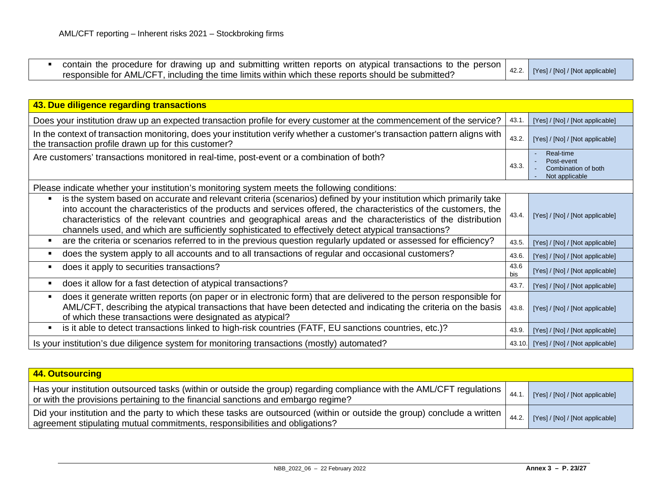|  | contain the procedure for drawing up and submitting written reports on atypical transactions to the person |                                       |
|--|------------------------------------------------------------------------------------------------------------|---------------------------------------|
|  | responsible for AML/CFT, including the time limits within which these reports should be submitted?         | 42.2. [Yes] / [No] / [Not applicable] |

| 43. Due diligence regarding transactions                                                                                                                                                                                                                                                                                                                                                                                                                       |             |                                                                  |  |
|----------------------------------------------------------------------------------------------------------------------------------------------------------------------------------------------------------------------------------------------------------------------------------------------------------------------------------------------------------------------------------------------------------------------------------------------------------------|-------------|------------------------------------------------------------------|--|
| Does your institution draw up an expected transaction profile for every customer at the commencement of the service?                                                                                                                                                                                                                                                                                                                                           | 43.1.       | [Yes] / [No] / [Not applicable]                                  |  |
| In the context of transaction monitoring, does your institution verify whether a customer's transaction pattern aligns with<br>the transaction profile drawn up for this customer?                                                                                                                                                                                                                                                                             | 43.2.       | [Yes] / [No] / [Not applicable]                                  |  |
| Are customers' transactions monitored in real-time, post-event or a combination of both?                                                                                                                                                                                                                                                                                                                                                                       | 43.3.       | Real-time<br>Post-event<br>Combination of both<br>Not applicable |  |
| Please indicate whether your institution's monitoring system meets the following conditions:                                                                                                                                                                                                                                                                                                                                                                   |             |                                                                  |  |
| is the system based on accurate and relevant criteria (scenarios) defined by your institution which primarily take<br>into account the characteristics of the products and services offered, the characteristics of the customers, the<br>characteristics of the relevant countries and geographical areas and the characteristics of the distribution<br>channels used, and which are sufficiently sophisticated to effectively detect atypical transactions? | 43.4.       | [Yes] / [No] / [Not applicable]                                  |  |
| are the criteria or scenarios referred to in the previous question regularly updated or assessed for efficiency?                                                                                                                                                                                                                                                                                                                                               | 43.5.       | [Yes] / [No] / [Not applicable]                                  |  |
| does the system apply to all accounts and to all transactions of regular and occasional customers?                                                                                                                                                                                                                                                                                                                                                             | 43.6.       | [Yes] / [No] / [Not applicable]                                  |  |
| does it apply to securities transactions?                                                                                                                                                                                                                                                                                                                                                                                                                      | 43.6<br>bis | [Yes] / [No] / [Not applicable]                                  |  |
| does it allow for a fast detection of atypical transactions?                                                                                                                                                                                                                                                                                                                                                                                                   | 43.7.       | [Yes] / [No] / [Not applicable]                                  |  |
| does it generate written reports (on paper or in electronic form) that are delivered to the person responsible for<br>AML/CFT, describing the atypical transactions that have been detected and indicating the criteria on the basis<br>of which these transactions were designated as atypical?                                                                                                                                                               | 43.8.       | [Yes] / [No] / [Not applicable]                                  |  |
| is it able to detect transactions linked to high-risk countries (FATF, EU sanctions countries, etc.)?                                                                                                                                                                                                                                                                                                                                                          | 43.9.       | [Yes] / [No] / [Not applicable]                                  |  |
| Is your institution's due diligence system for monitoring transactions (mostly) automated?                                                                                                                                                                                                                                                                                                                                                                     |             | 43.10. [Yes] / [No] / [Not applicable]                           |  |

| 44. Outsourcing                                                                                                                                                                                             |       |                                 |  |
|-------------------------------------------------------------------------------------------------------------------------------------------------------------------------------------------------------------|-------|---------------------------------|--|
| Has your institution outsourced tasks (within or outside the group) regarding compliance with the AML/CFT regulations  <br>or with the provisions pertaining to the financial sanctions and embargo regime? | 44.1  | [Yes] / [No] / [Not applicable] |  |
| Did your institution and the party to which these tasks are outsourced (within or outside the group) conclude a written<br>agreement stipulating mutual commitments, responsibilities and obligations?      | 44.2. | [Yes] / [No] / [Not applicable] |  |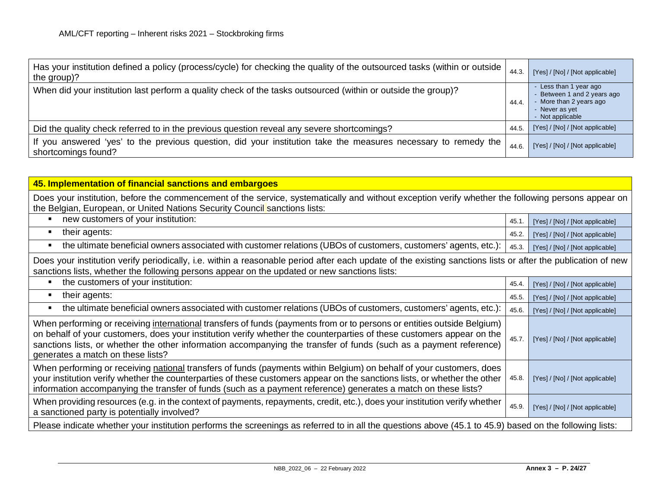| Has your institution defined a policy (process/cycle) for checking the quality of the outsourced tasks (within or outside  <br>the group)? | 44.3. | [Yes] / [No] / [Not applicable]                                                                                        |
|--------------------------------------------------------------------------------------------------------------------------------------------|-------|------------------------------------------------------------------------------------------------------------------------|
| When did your institution last perform a quality check of the tasks outsourced (within or outside the group)?                              | 44.4. | - Less than 1 year ago<br>- Between 1 and 2 years ago<br>- More than 2 years ago<br>- Never as yet<br>- Not applicable |
| Did the quality check referred to in the previous question reveal any severe shortcomings?                                                 | 44.5  | [Yes] / [No] / [Not applicable]                                                                                        |
| If you answered 'yes' to the previous question, did your institution take the measures necessary to remedy the<br>shortcomings found?      | 44.6. | [Yes] / [No] / [Not applicable]                                                                                        |

| 45. Implementation of financial sanctions and embargoes                                                                                                                                                                                                                                                                                                                                                     |       |                                 |
|-------------------------------------------------------------------------------------------------------------------------------------------------------------------------------------------------------------------------------------------------------------------------------------------------------------------------------------------------------------------------------------------------------------|-------|---------------------------------|
| Does your institution, before the commencement of the service, systematically and without exception verify whether the following persons appear on<br>the Belgian, European, or United Nations Security Council sanctions lists:                                                                                                                                                                            |       |                                 |
| new customers of your institution:                                                                                                                                                                                                                                                                                                                                                                          | 45.1  | [Yes] / [No] / [Not applicable] |
| their agents:<br>п                                                                                                                                                                                                                                                                                                                                                                                          | 45.2. | [Yes] / [No] / [Not applicable] |
| the ultimate beneficial owners associated with customer relations (UBOs of customers, customers' agents, etc.):                                                                                                                                                                                                                                                                                             | 45.3. | [Yes] / [No] / [Not applicable] |
| Does your institution verify periodically, i.e. within a reasonable period after each update of the existing sanctions lists or after the publication of new<br>sanctions lists, whether the following persons appear on the updated or new sanctions lists:                                                                                                                                                |       |                                 |
| the customers of your institution:                                                                                                                                                                                                                                                                                                                                                                          | 45.4. | [Yes] / [No] / [Not applicable] |
| their agents:<br>п                                                                                                                                                                                                                                                                                                                                                                                          | 45.5. | [Yes] / [No] / [Not applicable] |
| the ultimate beneficial owners associated with customer relations (UBOs of customers, customers' agents, etc.):                                                                                                                                                                                                                                                                                             | 45.6. | [Yes] / [No] / [Not applicable] |
| When performing or receiving international transfers of funds (payments from or to persons or entities outside Belgium)<br>on behalf of your customers, does your institution verify whether the counterparties of these customers appear on the<br>sanctions lists, or whether the other information accompanying the transfer of funds (such as a payment reference)<br>generates a match on these lists? | 45.7. | [Yes] / [No] / [Not applicable] |
| When performing or receiving national transfers of funds (payments within Belgium) on behalf of your customers, does<br>your institution verify whether the counterparties of these customers appear on the sanctions lists, or whether the other<br>information accompanying the transfer of funds (such as a payment reference) generates a match on these lists?                                         | 45.8. | [Yes] / [No] / [Not applicable] |
| When providing resources (e.g. in the context of payments, repayments, credit, etc.), does your institution verify whether<br>a sanctioned party is potentially involved?                                                                                                                                                                                                                                   | 45.9. | [Yes] / [No] / [Not applicable] |
| Please indicate whether your institution performs the screenings as referred to in all the questions above (45.1 to 45.9) based on the following lists:                                                                                                                                                                                                                                                     |       |                                 |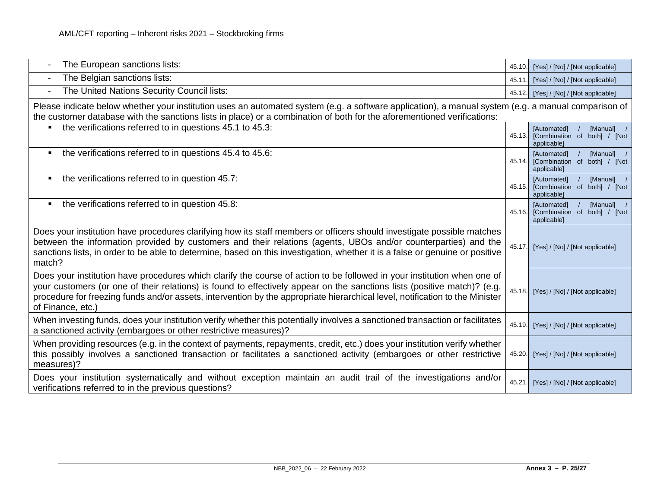| The European sanctions lists:                                                                                                                                                                                                                                                                                                                                                                            | 45.10  | [Yes] / [No] / [Not applicable]                                          |  |  |
|----------------------------------------------------------------------------------------------------------------------------------------------------------------------------------------------------------------------------------------------------------------------------------------------------------------------------------------------------------------------------------------------------------|--------|--------------------------------------------------------------------------|--|--|
| The Belgian sanctions lists:<br>$\overline{\phantom{a}}$                                                                                                                                                                                                                                                                                                                                                 | 45.11. | [Yes] / [No] / [Not applicable]                                          |  |  |
| The United Nations Security Council lists:<br>$\overline{\phantom{a}}$                                                                                                                                                                                                                                                                                                                                   | 45.12. | [Yes] / [No] / [Not applicable]                                          |  |  |
| Please indicate below whether your institution uses an automated system (e.g. a software application), a manual system (e.g. a manual comparison of<br>the customer database with the sanctions lists in place) or a combination of both for the aforementioned verifications:                                                                                                                           |        |                                                                          |  |  |
| the verifications referred to in questions 45.1 to 45.3:<br>$\blacksquare$                                                                                                                                                                                                                                                                                                                               | 45.13. | [Manual]<br>[Automated]<br>[Combination of both] / [Not<br>applicable]   |  |  |
| the verifications referred to in questions 45.4 to 45.6:<br>$\blacksquare$                                                                                                                                                                                                                                                                                                                               | 45.14. | [Automated]<br>[Manual]<br>[Combination of both] / [Not<br>applicable]   |  |  |
| the verifications referred to in question 45.7:<br>٠                                                                                                                                                                                                                                                                                                                                                     | 45.15. | [Automated]<br>[Manual] /<br>[Combination of both] / [Not<br>applicable] |  |  |
| the verifications referred to in question 45.8:<br>٠                                                                                                                                                                                                                                                                                                                                                     | 45.16. | [Automated]<br>[Manual] /<br>[Combination of both] / [Not<br>applicable] |  |  |
| Does your institution have procedures clarifying how its staff members or officers should investigate possible matches<br>between the information provided by customers and their relations (agents, UBOs and/or counterparties) and the<br>sanctions lists, in order to be able to determine, based on this investigation, whether it is a false or genuine or positive<br>match?                       | 45.17. | [Yes] / [No] / [Not applicable]                                          |  |  |
| Does your institution have procedures which clarify the course of action to be followed in your institution when one of<br>your customers (or one of their relations) is found to effectively appear on the sanctions lists (positive match)? (e.g.<br>procedure for freezing funds and/or assets, intervention by the appropriate hierarchical level, notification to the Minister<br>of Finance, etc.) |        | 45.18. [Yes] / [No] / [Not applicable]                                   |  |  |
| When investing funds, does your institution verify whether this potentially involves a sanctioned transaction or facilitates<br>a sanctioned activity (embargoes or other restrictive measures)?                                                                                                                                                                                                         |        | 45.19. [Yes] / [No] / [Not applicable]                                   |  |  |
| When providing resources (e.g. in the context of payments, repayments, credit, etc.) does your institution verify whether<br>this possibly involves a sanctioned transaction or facilitates a sanctioned activity (embargoes or other restrictive<br>measures)?                                                                                                                                          | 45.20. | [Yes] / [No] / [Not applicable]                                          |  |  |
| Does your institution systematically and without exception maintain an audit trail of the investigations and/or<br>verifications referred to in the previous questions?                                                                                                                                                                                                                                  | 45.21. | [Yes] / [No] / [Not applicable]                                          |  |  |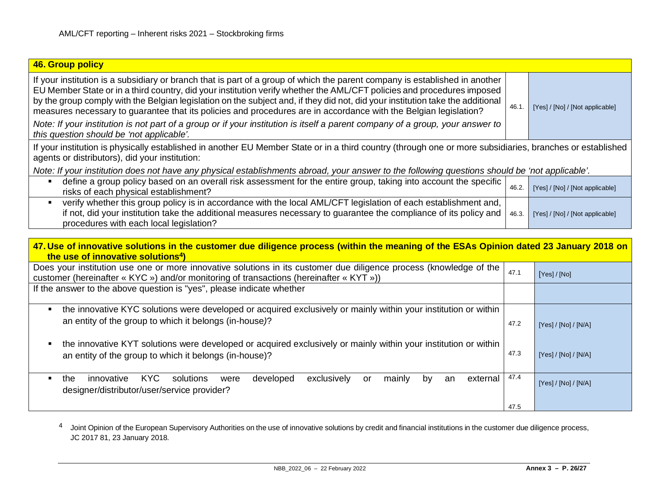<span id="page-25-0"></span>

| 46. Group policy                                                                                                                                                                                                                                                                                                                                                                                                                                                                                                                                                                                                                             |       |                                 |  |  |
|----------------------------------------------------------------------------------------------------------------------------------------------------------------------------------------------------------------------------------------------------------------------------------------------------------------------------------------------------------------------------------------------------------------------------------------------------------------------------------------------------------------------------------------------------------------------------------------------------------------------------------------------|-------|---------------------------------|--|--|
| If your institution is a subsidiary or branch that is part of a group of which the parent company is established in another<br>EU Member State or in a third country, did your institution verify whether the AML/CFT policies and procedures imposed<br>by the group comply with the Belgian legislation on the subject and, if they did not, did your institution take the additional<br>measures necessary to guarantee that its policies and procedures are in accordance with the Belgian legislation?<br>Note: If your institution is not part of a group or if your institution is itself a parent company of a group, your answer to | 46.1. | [Yes] / [No] / [Not applicable] |  |  |
| this question should be 'not applicable'.                                                                                                                                                                                                                                                                                                                                                                                                                                                                                                                                                                                                    |       |                                 |  |  |
| If your institution is physically established in another EU Member State or in a third country (through one or more subsidiaries, branches or established<br>agents or distributors), did your institution:                                                                                                                                                                                                                                                                                                                                                                                                                                  |       |                                 |  |  |
| Note: If your institution does not have any physical establishments abroad, your answer to the following questions should be 'not applicable'.                                                                                                                                                                                                                                                                                                                                                                                                                                                                                               |       |                                 |  |  |
| define a group policy based on an overall risk assessment for the entire group, taking into account the specific<br>risks of each physical establishment?                                                                                                                                                                                                                                                                                                                                                                                                                                                                                    | 46.2. | [Yes] / [No] / [Not applicable] |  |  |
| verify whether this group policy is in accordance with the local AML/CFT legislation of each establishment and,<br>if not, did your institution take the additional measures necessary to guarantee the compliance of its policy and<br>procedures with each local legislation?                                                                                                                                                                                                                                                                                                                                                              | 46.3. | [Yes] / [No] / [Not applicable] |  |  |
|                                                                                                                                                                                                                                                                                                                                                                                                                                                                                                                                                                                                                                              |       |                                 |  |  |
| 47. Use of innovative solutions in the customer due diligence process (within the meaning of the ESAs Opinion dated 23 January 2018 on<br>the use of innovative solutions <sup>4</sup> )                                                                                                                                                                                                                                                                                                                                                                                                                                                     |       |                                 |  |  |
| Does your institution use one or more innovative solutions in its customer due diligence process (knowledge of the<br>customer (hereinafter « KYC ») and/or monitoring of transactions (hereinafter « KYT »))                                                                                                                                                                                                                                                                                                                                                                                                                                | 47.1  | [Yes] / [No]                    |  |  |
| If the answer to the above question is "yes", please indicate whether                                                                                                                                                                                                                                                                                                                                                                                                                                                                                                                                                                        |       |                                 |  |  |
| the innovative KYC solutions were developed or acquired exclusively or mainly within your institution or within                                                                                                                                                                                                                                                                                                                                                                                                                                                                                                                              |       |                                 |  |  |
| an entity of the group to which it belongs (in-house)?                                                                                                                                                                                                                                                                                                                                                                                                                                                                                                                                                                                       | 47.2  | [Yes] / [No] / [N/A]            |  |  |

- the innovative KYT solutions were developed or acquired exclusively or mainly within your institution or within an entity of the group to which it belongs (in-house)? 47.3 [Yes] / [No] / [N/A]
- **the innovative KYC solutions were developed exclusively or mainly by an external** designer/distributor/user/service provider? 47.4 [Yes] / [No] / [N/A]

4 Joint Opinion of the European Supervisory Authorities on the use of innovative solutions by credit and financial institutions in the customer due diligence process, JC 2017 81, 23 January 2018.

47.5